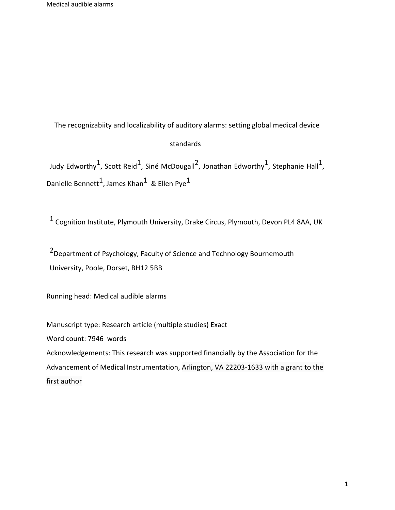The recognizabiity and localizability of auditory alarms: setting global medical device

## standards

Judy Edworthy<sup>1</sup>, Scott Reid<sup>1</sup>, Siné McDougall<sup>2</sup>, Jonathan Edworthy<sup>1</sup>, Stephanie Hall<sup>1</sup>, Danielle Bennett<sup>1</sup>, James Khan<sup>1</sup> & Ellen Pye<sup>1</sup>

1 Cognition Institute, Plymouth University, Drake Circus, Plymouth, Devon PL4 8AA, UK

2Department of Psychology, Faculty of Science and Technology Bournemouth University, Poole, Dorset, BH12 5BB

Running head: Medical audible alarms

Manuscript type: Research article (multiple studies) Exact Word count: 7946 words Acknowledgements: This research was supported financially by the Association for the Advancement of Medical Instrumentation, Arlington, VA 22203-1633 with a grant to the

first author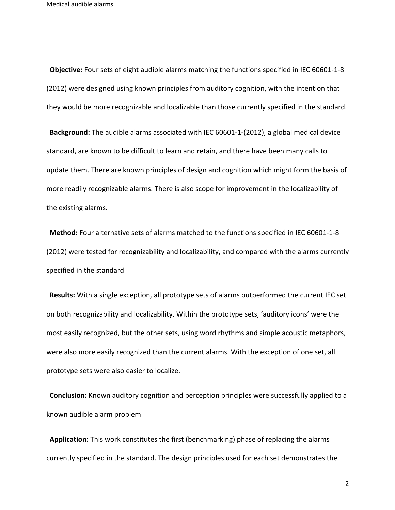**Objective:** Four sets of eight audible alarms matching the functions specified in IEC 60601-1-8 (2012) were designed using known principles from auditory cognition, with the intention that they would be more recognizable and localizable than those currently specified in the standard.

**Background:** The audible alarms associated with IEC 60601-1-(2012), a global medical device standard, are known to be difficult to learn and retain, and there have been many calls to update them. There are known principles of design and cognition which might form the basis of more readily recognizable alarms. There is also scope for improvement in the localizability of the existing alarms.

**Method:** Four alternative sets of alarms matched to the functions specified in IEC 60601-1-8 (2012) were tested for recognizability and localizability, and compared with the alarms currently specified in the standard

**Results:** With a single exception, all prototype sets of alarms outperformed the current IEC set on both recognizability and localizability. Within the prototype sets, 'auditory icons' were the most easily recognized, but the other sets, using word rhythms and simple acoustic metaphors, were also more easily recognized than the current alarms. With the exception of one set, all prototype sets were also easier to localize.

**Conclusion:** Known auditory cognition and perception principles were successfully applied to a known audible alarm problem

**Application:** This work constitutes the first (benchmarking) phase of replacing the alarms currently specified in the standard. The design principles used for each set demonstrates the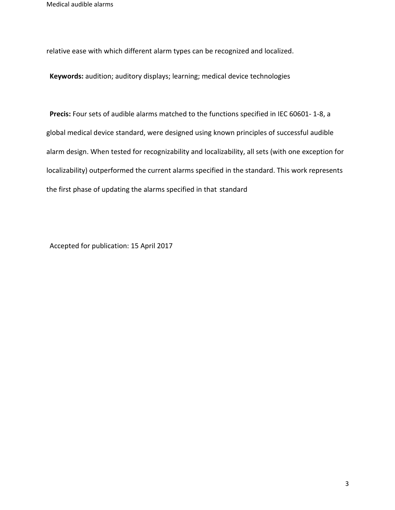relative ease with which different alarm types can be recognized and localized.

**Keywords:** audition; auditory displays; learning; medical device technologies

**Precis:** Four sets of audible alarms matched to the functions specified in IEC 60601- 1-8, a global medical device standard, were designed using known principles of successful audible alarm design. When tested for recognizability and localizability, all sets (with one exception for localizability) outperformed the current alarms specified in the standard. This work represents the first phase of updating the alarms specified in that standard

Accepted for publication: 15 April 2017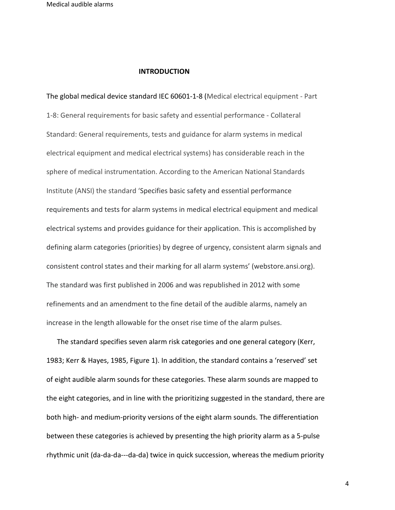#### **INTRODUCTION**

The global medical device standard IEC 60601-1-8 (Medical electrical equipment - Part 1-8: General requirements for basic safety and essential performance - Collateral Standard: General requirements, tests and guidance for alarm systems in medical electrical equipment and medical electrical systems) has considerable reach in the sphere of medical instrumentation. According to the American National Standards Institute (ANSI) the standard 'Specifies basic safety and essential performance requirements and tests for alarm systems in medical electrical equipment and medical electrical systems and provides guidance for their application. This is accomplished by defining alarm categories (priorities) by degree of urgency, consistent alarm signals and consistent control states and their marking for all alarm systems' (webstore.ansi.org). The standard was first published in 2006 and was republished in 2012 with some refinements and an amendment to the fine detail of the audible alarms, namely an increase in the length allowable for the onset rise time of the alarm pulses.

 The standard specifies seven alarm risk categories and one general category (Kerr, 1983; Kerr & Hayes, 1985, Figure 1). In addition, the standard contains a 'reserved' set of eight audible alarm sounds for these categories. These alarm sounds are mapped to the eight categories, and in line with the prioritizing suggested in the standard, there are both high- and medium-priority versions of the eight alarm sounds. The differentiation between these categories is achieved by presenting the high priority alarm as a 5-pulse rhythmic unit (da-da-da---da-da) twice in quick succession, whereas the medium priority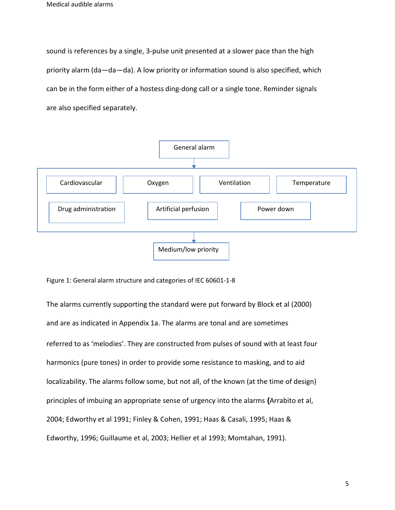sound is references by a single, 3-pulse unit presented at a slower pace than the high priority alarm (da—da—da). A low priority or information sound is also specified, which can be in the form either of a hostess ding-dong call or a single tone. Reminder signals are also specified separately.



Figure 1: General alarm structure and categories of IEC 60601-1-8

The alarms currently supporting the standard were put forward by Block et al (2000) and are as indicated in Appendix 1a. The alarms are tonal and are sometimes referred to as 'melodies'. They are constructed from pulses of sound with at least four harmonics (pure tones) in order to provide some resistance to masking, and to aid localizability. The alarms follow some, but not all, of the known (at the time of design) principles of imbuing an appropriate sense of urgency into the alarms **(**Arrabito et al, 2004; Edworthy et al 1991; Finley & Cohen, 1991; Haas & Casali, 1995; Haas & Edworthy, 1996; Guillaume et al, 2003; Hellier et al 1993; Momtahan, 1991).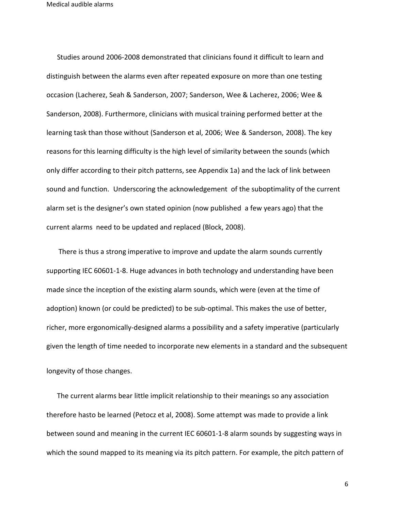Studies around 2006-2008 demonstrated that clinicians found it difficult to learn and distinguish between the alarms even after repeated exposure on more than one testing occasion (Lacherez, Seah & Sanderson, 2007; Sanderson, Wee & Lacherez, 2006; Wee & Sanderson, 2008). Furthermore, clinicians with musical training performed better at the learning task than those without (Sanderson et al, 2006; Wee & Sanderson, 2008). The key reasons for this learning difficulty is the high level of similarity between the sounds (which only differ according to their pitch patterns, see Appendix 1a) and the lack of link between sound and function. Underscoring the acknowledgement of the suboptimality of the current alarm set is the designer's own stated opinion (now published a few years ago) that the current alarms need to be updated and replaced (Block, 2008).

 There is thus a strong imperative to improve and update the alarm sounds currently supporting IEC 60601-1-8. Huge advances in both technology and understanding have been made since the inception of the existing alarm sounds, which were (even at the time of adoption) known (or could be predicted) to be sub-optimal. This makes the use of better, richer, more ergonomically-designed alarms a possibility and a safety imperative (particularly given the length of time needed to incorporate new elements in a standard and the subsequent longevity of those changes.

 The current alarms bear little implicit relationship to their meanings so any association therefore hasto be learned (Petocz et al, 2008). Some attempt was made to provide a link between sound and meaning in the current IEC 60601-1-8 alarm sounds by suggesting ways in which the sound mapped to its meaning via its pitch pattern. For example, the pitch pattern of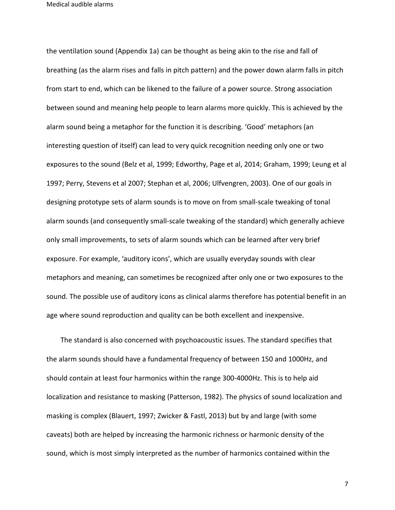the ventilation sound (Appendix 1a) can be thought as being akin to the rise and fall of breathing (as the alarm rises and falls in pitch pattern) and the power down alarm falls in pitch from start to end, which can be likened to the failure of a power source. Strong association between sound and meaning help people to learn alarms more quickly. This is achieved by the alarm sound being a metaphor for the function it is describing. 'Good' metaphors (an interesting question of itself) can lead to very quick recognition needing only one or two exposures to the sound (Belz et al, 1999; Edworthy, Page et al, 2014; Graham, 1999; Leung et al 1997; Perry, Stevens et al 2007; Stephan et al, 2006; Ulfvengren, 2003). One of our goals in designing prototype sets of alarm sounds is to move on from small-scale tweaking of tonal alarm sounds (and consequently small-scale tweaking of the standard) which generally achieve only small improvements, to sets of alarm sounds which can be learned after very brief exposure. For example, 'auditory icons', which are usually everyday sounds with clear metaphors and meaning, can sometimes be recognized after only one or two exposures to the sound. The possible use of auditory icons as clinical alarms therefore has potential benefit in an age where sound reproduction and quality can be both excellent and inexpensive.

 The standard is also concerned with psychoacoustic issues. The standard specifies that the alarm sounds should have a fundamental frequency of between 150 and 1000Hz, and should contain at least four harmonics within the range 300-4000Hz. This is to help aid localization and resistance to masking (Patterson, 1982). The physics of sound localization and masking is complex (Blauert, 1997; Zwicker & Fastl, 2013) but by and large (with some caveats) both are helped by increasing the harmonic richness or harmonic density of the sound, which is most simply interpreted as the number of harmonics contained within the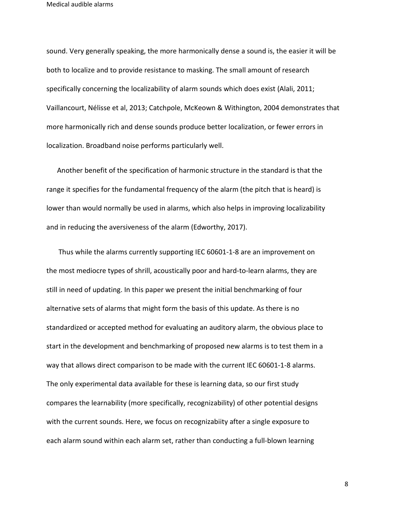sound. Very generally speaking, the more harmonically dense a sound is, the easier it will be both to localize and to provide resistance to masking. The small amount of research specifically concerning the localizability of alarm sounds which does exist (Alali, 2011; Vaillancourt, Nélisse et al, 2013; Catchpole, McKeown & Withington, 2004 demonstrates that more harmonically rich and dense sounds produce better localization, or fewer errors in localization. Broadband noise performs particularly well.

 Another benefit of the specification of harmonic structure in the standard is that the range it specifies for the fundamental frequency of the alarm (the pitch that is heard) is lower than would normally be used in alarms, which also helps in improving localizability and in reducing the aversiveness of the alarm (Edworthy, 2017).

 Thus while the alarms currently supporting IEC 60601-1-8 are an improvement on the most mediocre types of shrill, acoustically poor and hard-to-learn alarms, they are still in need of updating. In this paper we present the initial benchmarking of four alternative sets of alarms that might form the basis of this update. As there is no standardized or accepted method for evaluating an auditory alarm, the obvious place to start in the development and benchmarking of proposed new alarms is to test them in a way that allows direct comparison to be made with the current IEC 60601-1-8 alarms. The only experimental data available for these is learning data, so our first study compares the learnability (more specifically, recognizability) of other potential designs with the current sounds. Here, we focus on recognizabiity after a single exposure to each alarm sound within each alarm set, rather than conducting a full-blown learning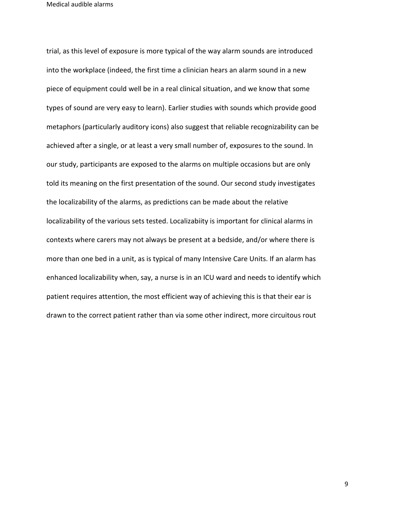trial, as this level of exposure is more typical of the way alarm sounds are introduced into the workplace (indeed, the first time a clinician hears an alarm sound in a new piece of equipment could well be in a real clinical situation, and we know that some types of sound are very easy to learn). Earlier studies with sounds which provide good metaphors (particularly auditory icons) also suggest that reliable recognizability can be achieved after a single, or at least a very small number of, exposures to the sound. In our study, participants are exposed to the alarms on multiple occasions but are only told its meaning on the first presentation of the sound. Our second study investigates the localizability of the alarms, as predictions can be made about the relative localizability of the various sets tested. Localizabiity is important for clinical alarms in contexts where carers may not always be present at a bedside, and/or where there is more than one bed in a unit, as is typical of many Intensive Care Units. If an alarm has enhanced localizability when, say, a nurse is in an ICU ward and needs to identify which patient requires attention, the most efficient way of achieving this is that their ear is drawn to the correct patient rather than via some other indirect, more circuitous rout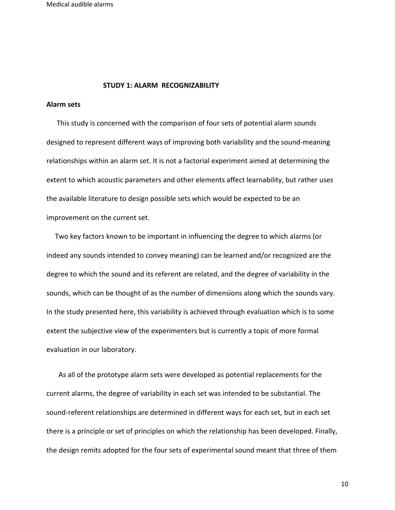#### **STUDY 1: ALARM RECOGNIZABILITY**

## **Alarm sets**

 This study is concerned with the comparison of four sets of potential alarm sounds designed to represent different ways of improving both variability and the sound-meaning relationships within an alarm set. It is not a factorial experiment aimed at determining the extent to which acoustic parameters and other elements affect learnability, but rather uses the available literature to design possible sets which would be expected to be an improvement on the current set.

 Two key factors known to be important in influencing the degree to which alarms (or indeed any sounds intended to convey meaning) can be learned and/or recognized are the degree to which the sound and its referent are related, and the degree of variability in the sounds, which can be thought of as the number of dimensions along which the sounds vary. In the study presented here, this variability is achieved through evaluation which is to some extent the subjective view of the experimenters but is currently a topic of more formal evaluation in our laboratory.

 As all of the prototype alarm sets were developed as potential replacements for the current alarms, the degree of variability in each set was intended to be substantial. The sound-referent relationships are determined in different ways for each set, but in each set there is a principle or set of principles on which the relationship has been developed. Finally, the design remits adopted for the four sets of experimental sound meant that three of them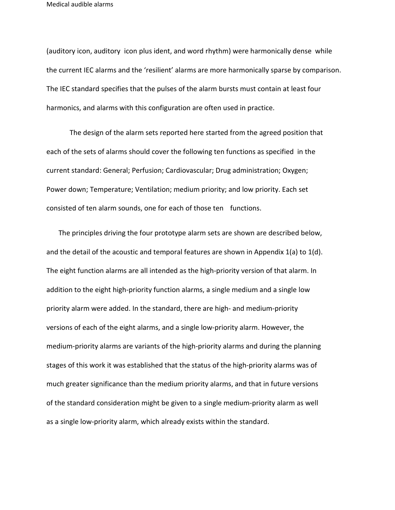(auditory icon, auditory icon plus ident, and word rhythm) were harmonically dense while the current IEC alarms and the 'resilient' alarms are more harmonically sparse by comparison. The IEC standard specifies that the pulses of the alarm bursts must contain at least four harmonics, and alarms with this configuration are often used in practice.

The design of the alarm sets reported here started from the agreed position that each of the sets of alarms should cover the following ten functions as specified in the current standard: General; Perfusion; Cardiovascular; Drug administration; Oxygen; Power down; Temperature; Ventilation; medium priority; and low priority. Each set consisted of ten alarm sounds, one for each of those ten functions.

 The principles driving the four prototype alarm sets are shown are described below, and the detail of the acoustic and temporal features are shown in Appendix 1(a) to 1(d). The eight function alarms are all intended as the high-priority version of that alarm. In addition to the eight high-priority function alarms, a single medium and a single low priority alarm were added. In the standard, there are high- and medium-priority versions of each of the eight alarms, and a single low-priority alarm. However, the medium-priority alarms are variants of the high-priority alarms and during the planning stages of this work it was established that the status of the high-priority alarms was of much greater significance than the medium priority alarms, and that in future versions of the standard consideration might be given to a single medium-priority alarm as well as a single low-priority alarm, which already exists within the standard.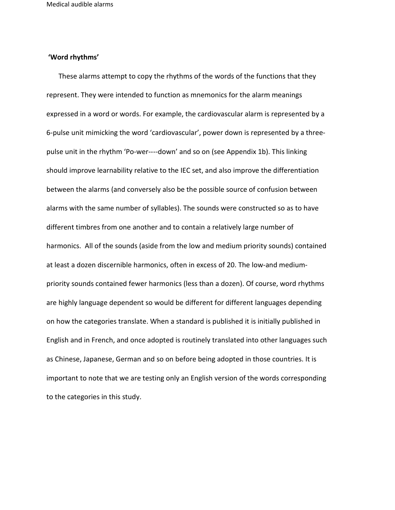## **'Word rhythms'**

 These alarms attempt to copy the rhythms of the words of the functions that they represent. They were intended to function as mnemonics for the alarm meanings expressed in a word or words. For example, the cardiovascular alarm is represented by a 6-pulse unit mimicking the word 'cardiovascular', power down is represented by a threepulse unit in the rhythm 'Po-wer----down' and so on (see Appendix 1b). This linking should improve learnability relative to the IEC set, and also improve the differentiation between the alarms (and conversely also be the possible source of confusion between alarms with the same number of syllables). The sounds were constructed so as to have different timbres from one another and to contain a relatively large number of harmonics. All of the sounds (aside from the low and medium priority sounds) contained at least a dozen discernible harmonics, often in excess of 20. The low-and mediumpriority sounds contained fewer harmonics (less than a dozen). Of course, word rhythms are highly language dependent so would be different for different languages depending on how the categories translate. When a standard is published it is initially published in English and in French, and once adopted is routinely translated into other languages such as Chinese, Japanese, German and so on before being adopted in those countries. It is important to note that we are testing only an English version of the words corresponding to the categories in this study.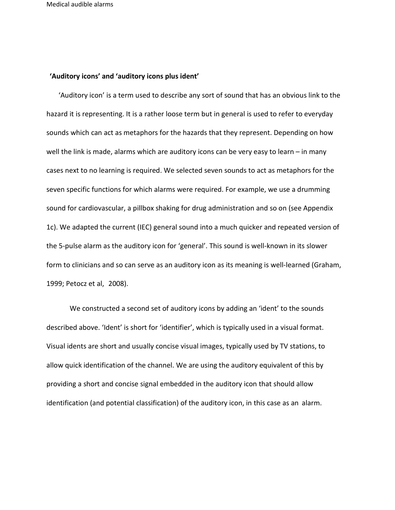## **'Auditory icons' and 'auditory icons plus ident'**

 'Auditory icon' is a term used to describe any sort of sound that has an obvious link to the hazard it is representing. It is a rather loose term but in general is used to refer to everyday sounds which can act as metaphors for the hazards that they represent. Depending on how well the link is made, alarms which are auditory icons can be very easy to learn – in many cases next to no learning is required. We selected seven sounds to act as metaphors for the seven specific functions for which alarms were required. For example, we use a drumming sound for cardiovascular, a pillbox shaking for drug administration and so on (see Appendix 1c). We adapted the current (IEC) general sound into a much quicker and repeated version of the 5-pulse alarm as the auditory icon for 'general'. This sound is well-known in its slower form to clinicians and so can serve as an auditory icon as its meaning is well-learned (Graham, 1999; Petocz et al, 2008).

We constructed a second set of auditory icons by adding an 'ident' to the sounds described above. 'Ident' is short for 'identifier', which is typically used in a visual format. Visual idents are short and usually concise visual images, typically used by TV stations, to allow quick identification of the channel. We are using the auditory equivalent of this by providing a short and concise signal embedded in the auditory icon that should allow identification (and potential classification) of the auditory icon, in this case as an alarm.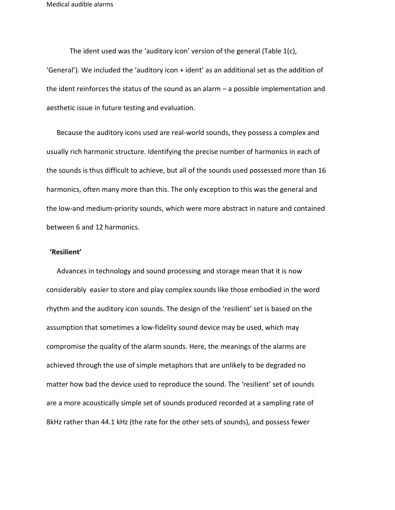The ident used was the 'auditory icon' version of the general (Table 1(c), 'General'). We included the 'auditory icon + ident' as an additional set as the addition of the ident reinforces the status of the sound as an alarm – a possible implementation and aesthetic issue in future testing and evaluation.

 Because the auditory icons used are real-world sounds, they possess a complex and usually rich harmonic structure. Identifying the precise number of harmonics in each of the sounds is thus difficult to achieve, but all of the sounds used possessed more than 16 harmonics, often many more than this. The only exception to this was the general and the low-and medium-priority sounds, which were more abstract in nature and contained between 6 and 12 harmonics.

#### **'Resilient'**

 Advances in technology and sound processing and storage mean that it is now considerably easier to store and play complex sounds like those embodied in the word rhythm and the auditory icon sounds. The design of the 'resilient' set is based on the assumption that sometimes a low-fidelity sound device may be used, which may compromise the quality of the alarm sounds. Here, the meanings of the alarms are achieved through the use of simple metaphors that are unlikely to be degraded no matter how bad the device used to reproduce the sound. The 'resilient' set of sounds are a more acoustically simple set of sounds produced recorded at a sampling rate of 8kHz rather than 44.1 kHz (the rate for the other sets of sounds), and possess fewer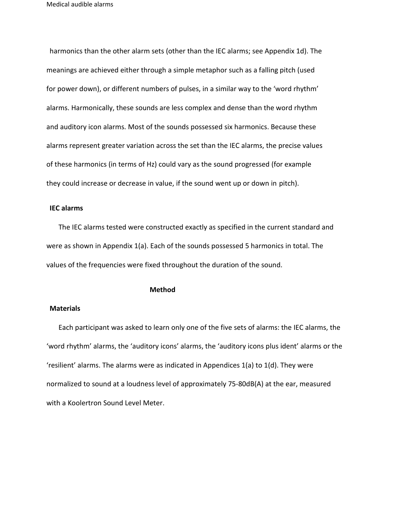harmonics than the other alarm sets (other than the IEC alarms; see Appendix 1d). The meanings are achieved either through a simple metaphor such as a falling pitch (used for power down), or different numbers of pulses, in a similar way to the 'word rhythm' alarms. Harmonically, these sounds are less complex and dense than the word rhythm and auditory icon alarms. Most of the sounds possessed six harmonics. Because these alarms represent greater variation across the set than the IEC alarms, the precise values of these harmonics (in terms of Hz) could vary as the sound progressed (for example they could increase or decrease in value, if the sound went up or down in pitch).

## **IEC alarms**

 The IEC alarms tested were constructed exactly as specified in the current standard and were as shown in Appendix 1(a). Each of the sounds possessed 5 harmonics in total. The values of the frequencies were fixed throughout the duration of the sound.

#### **Method**

## **Materials**

 Each participant was asked to learn only one of the five sets of alarms: the IEC alarms, the 'word rhythm' alarms, the 'auditory icons' alarms, the 'auditory icons plus ident' alarms or the 'resilient' alarms. The alarms were as indicated in Appendices 1(a) to 1(d). They were normalized to sound at a loudness level of approximately 75-80dB(A) at the ear, measured with a Koolertron Sound Level Meter.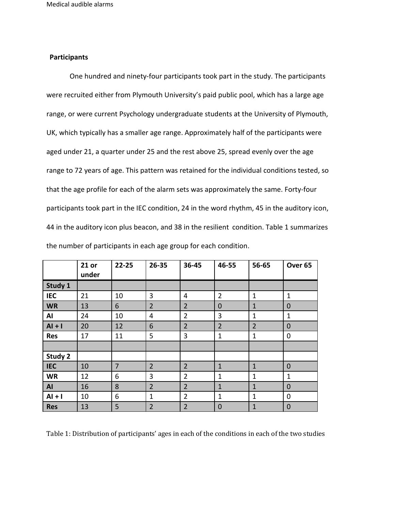## **Participants**

One hundred and ninety-four participants took part in the study. The participants were recruited either from Plymouth University's paid public pool, which has a large age range, or were current Psychology undergraduate students at the University of Plymouth, UK, which typically has a smaller age range. Approximately half of the participants were aged under 21, a quarter under 25 and the rest above 25, spread evenly over the age range to 72 years of age. This pattern was retained for the individual conditions tested, so that the age profile for each of the alarm sets was approximately the same. Forty-four participants took part in the IEC condition, 24 in the word rhythm, 45 in the auditory icon, 44 in the auditory icon plus beacon, and 38 in the resilient condition. Table 1 summarizes the number of participants in each age group for each condition.

|            | 21 or<br>under | $22 - 25$      | $26 - 35$      | 36-45          | 46-55          | 56-65          | Over <sub>65</sub> |
|------------|----------------|----------------|----------------|----------------|----------------|----------------|--------------------|
| Study 1    |                |                |                |                |                |                |                    |
| <b>IEC</b> | 21             | 10             | 3              | 4              | $\overline{2}$ | 1              | $\mathbf{1}$       |
| <b>WR</b>  | 13             | 6              | $\overline{2}$ | $\overline{2}$ | $\mathbf 0$    | $\mathbf{1}$   | $\mathbf 0$        |
| Al         | 24             | 10             | $\overline{4}$ | $\overline{2}$ | 3              | 1              | $\mathbf{1}$       |
| $AI + I$   | 20             | 12             | 6              | $\overline{2}$ | $\overline{2}$ | $\overline{2}$ | $\mathbf 0$        |
| <b>Res</b> | 17             | 11             | 5              | 3              | $\mathbf{1}$   | 1              | $\mathbf 0$        |
|            |                |                |                |                |                |                |                    |
| Study 2    |                |                |                |                |                |                |                    |
| <b>IEC</b> | 10             | $\overline{7}$ | $\overline{2}$ | $\overline{2}$ | $\mathbf{1}$   | $\mathbf{1}$   | $\mathbf 0$        |
| <b>WR</b>  | 12             | 6              | 3              | $\overline{2}$ | $\mathbf{1}$   | 1              | 1                  |
| AI         | 16             | 8              | $\overline{2}$ | $\overline{2}$ | $\mathbf{1}$   | $\mathbf{1}$   | $\mathbf 0$        |
| $AI + I$   | 10             | 6              | $\mathbf 1$    | $\overline{2}$ | $\mathbf{1}$   | 1              | $\mathbf 0$        |
| <b>Res</b> | 13             | 5              | $\overline{2}$ | $\overline{2}$ | $\mathbf 0$    | $\mathbf{1}$   | $\overline{0}$     |

Table 1: Distribution of participants' ages in each of the conditions in each of the two studies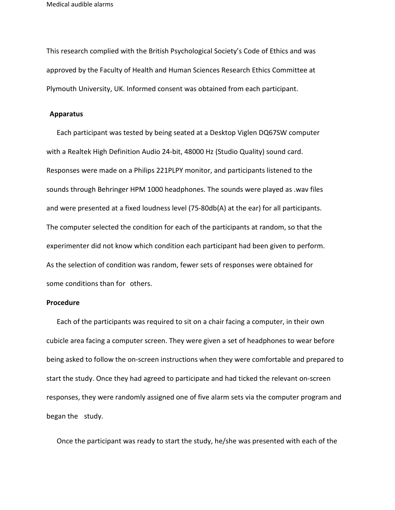This research complied with the British Psychological Society's Code of Ethics and was approved by the Faculty of Health and Human Sciences Research Ethics Committee at Plymouth University, UK. Informed consent was obtained from each participant.

#### **Apparatus**

 Each participant was tested by being seated at a Desktop Viglen DQ67SW computer with a Realtek High Definition Audio 24-bit, 48000 Hz (Studio Quality) sound card. Responses were made on a Philips 221PLPY monitor, and participants listened to the sounds through Behringer HPM 1000 headphones. The sounds were played as .wav files and were presented at a fixed loudness level (75-80db(A) at the ear) for all participants. The computer selected the condition for each of the participants at random, so that the experimenter did not know which condition each participant had been given to perform. As the selection of condition was random, fewer sets of responses were obtained for some conditions than for others.

## **Procedure**

 Each of the participants was required to sit on a chair facing a computer, in their own cubicle area facing a computer screen. They were given a set of headphones to wear before being asked to follow the on-screen instructions when they were comfortable and prepared to start the study. Once they had agreed to participate and had ticked the relevant on-screen responses, they were randomly assigned one of five alarm sets via the computer program and began the study.

Once the participant was ready to start the study, he/she was presented with each of the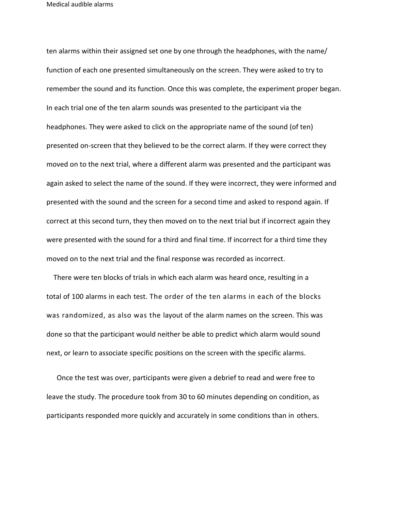ten alarms within their assigned set one by one through the headphones, with the name/ function of each one presented simultaneously on the screen. They were asked to try to remember the sound and its function. Once this was complete, the experiment proper began. In each trial one of the ten alarm sounds was presented to the participant via the headphones. They were asked to click on the appropriate name of the sound (of ten) presented on-screen that they believed to be the correct alarm. If they were correct they moved on to the next trial, where a different alarm was presented and the participant was again asked to select the name of the sound. If they were incorrect, they were informed and presented with the sound and the screen for a second time and asked to respond again. If correct at this second turn, they then moved on to the next trial but if incorrect again they were presented with the sound for a third and final time. If incorrect for a third time they moved on to the next trial and the final response was recorded as incorrect.

 There were ten blocks of trials in which each alarm was heard once, resulting in a total of 100 alarms in each test. The order of the ten alarms in each of the blocks was randomized, as also was the layout of the alarm names on the screen. This was done so that the participant would neither be able to predict which alarm would sound next, or learn to associate specific positions on the screen with the specific alarms.

 Once the test was over, participants were given a debrief to read and were free to leave the study. The procedure took from 30 to 60 minutes depending on condition, as participants responded more quickly and accurately in some conditions than in others.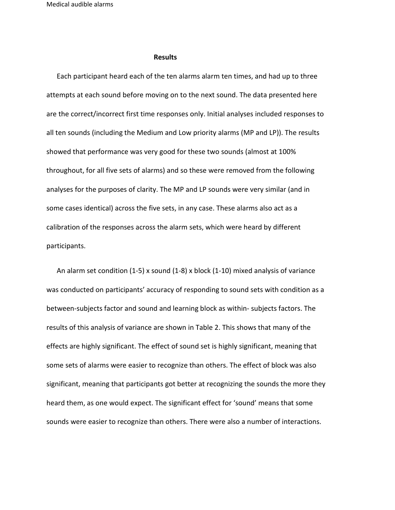#### **Results**

 Each participant heard each of the ten alarms alarm ten times, and had up to three attempts at each sound before moving on to the next sound. The data presented here are the correct/incorrect first time responses only. Initial analyses included responses to all ten sounds (including the Medium and Low priority alarms (MP and LP)). The results showed that performance was very good for these two sounds (almost at 100% throughout, for all five sets of alarms) and so these were removed from the following analyses for the purposes of clarity. The MP and LP sounds were very similar (and in some cases identical) across the five sets, in any case. These alarms also act as a calibration of the responses across the alarm sets, which were heard by different participants.

 An alarm set condition (1-5) x sound (1-8) x block (1-10) mixed analysis of variance was conducted on participants' accuracy of responding to sound sets with condition as a between-subjects factor and sound and learning block as within- subjects factors. The results of this analysis of variance are shown in Table 2. This shows that many of the effects are highly significant. The effect of sound set is highly significant, meaning that some sets of alarms were easier to recognize than others. The effect of block was also significant, meaning that participants got better at recognizing the sounds the more they heard them, as one would expect. The significant effect for 'sound' means that some sounds were easier to recognize than others. There were also a number of interactions.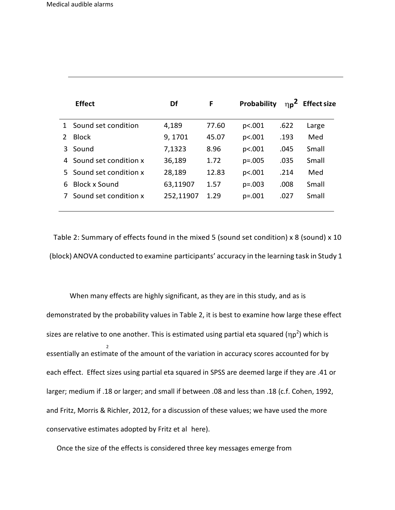I

|   | <b>Effect</b>           | Df        | F     | Probability | $\eta_{p}^{2}$ | <b>Effect size</b> |
|---|-------------------------|-----------|-------|-------------|----------------|--------------------|
|   | 1 Sound set condition   | 4,189     | 77.60 | p<.001      | .622           | Large              |
| 2 | <b>Block</b>            | 9,1701    | 45.07 | p<.001      | .193           | Med                |
| 3 | Sound                   | 7,1323    | 8.96  | p<.001      | .045           | Small              |
|   | 4 Sound set condition x | 36,189    | 1.72  | $p=.005$    | .035           | Small              |
|   | 5 Sound set condition x | 28,189    | 12.83 | p<.001      | .214           | Med                |
| 6 | Block x Sound           | 63,11907  | 1.57  | $p=.003$    | .008           | Small              |
|   | Sound set condition x   | 252,11907 | 1.29  | $p=.001$    | .027           | Small              |

Table 2: Summary of effects found in the mixed 5 (sound set condition) x 8 (sound) x 10 (block) ANOVA conducted to examine participants' accuracy in the learning task in Study 1

2 When many effects are highly significant, as they are in this study, and as is demonstrated by the probability values in Table 2, it is best to examine how large these effect sizes are relative to one another. This is estimated using partial eta squared ( $np^2$ ) which is essentially an estimate of the amount of the variation in accuracy scores accounted for by each effect. Effect sizes using partial eta squared in SPSS are deemed large if they are .41 or larger; medium if .18 or larger; and small if between .08 and less than .18 (c.f. Cohen, 1992, and Fritz, Morris & Richler, 2012, for a discussion of these values; we have used the more conservative estimates adopted by Fritz et al here).

Once the size of the effects is considered three key messages emerge from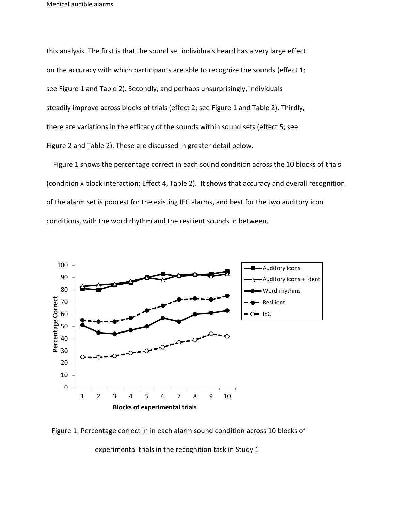this analysis. The first is that the sound set individuals heard has a very large effect on the accuracy with which participants are able to recognize the sounds (effect 1; see Figure 1 and Table 2). Secondly, and perhaps unsurprisingly, individuals steadily improve across blocks of trials (effect 2; see Figure 1 and Table 2). Thirdly, there are variations in the efficacy of the sounds within sound sets (effect 5; see Figure 2 and Table 2). These are discussed in greater detail below.

 Figure 1 shows the percentage correct in each sound condition across the 10 blocks of trials (condition x block interaction; Effect 4, Table 2). It shows that accuracy and overall recognition of the alarm set is poorest for the existing IEC alarms, and best for the two auditory icon conditions, with the word rhythm and the resilient sounds in between.





experimental trials in the recognition task in Study 1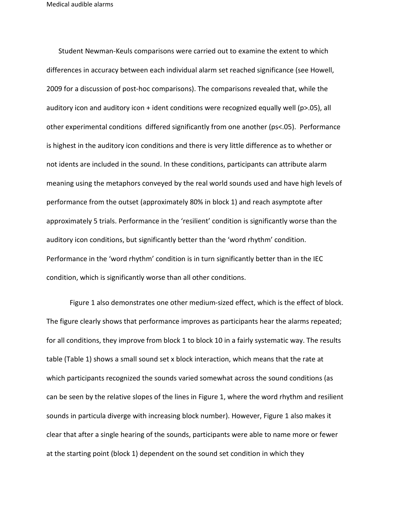Student Newman-Keuls comparisons were carried out to examine the extent to which differences in accuracy between each individual alarm set reached significance (see Howell, 2009 for a discussion of post-hoc comparisons). The comparisons revealed that, while the auditory icon and auditory icon  $+$  ident conditions were recognized equally well (p>.05), all other experimental conditions differed significantly from one another (ps<.05). Performance is highest in the auditory icon conditions and there is very little difference as to whether or not idents are included in the sound. In these conditions, participants can attribute alarm meaning using the metaphors conveyed by the real world sounds used and have high levels of performance from the outset (approximately 80% in block 1) and reach asymptote after approximately 5 trials. Performance in the 'resilient' condition is significantly worse than the auditory icon conditions, but significantly better than the 'word rhythm' condition. Performance in the 'word rhythm' condition is in turn significantly better than in the IEC condition, which is significantly worse than all other conditions.

Figure 1 also demonstrates one other medium-sized effect, which is the effect of block. The figure clearly shows that performance improves as participants hear the alarms repeated; for all conditions, they improve from block 1 to block 10 in a fairly systematic way. The results table (Table 1) shows a small sound set x block interaction, which means that the rate at which participants recognized the sounds varied somewhat across the sound conditions (as can be seen by the relative slopes of the lines in Figure 1, where the word rhythm and resilient sounds in particula diverge with increasing block number). However, Figure 1 also makes it clear that after a single hearing of the sounds, participants were able to name more or fewer at the starting point (block 1) dependent on the sound set condition in which they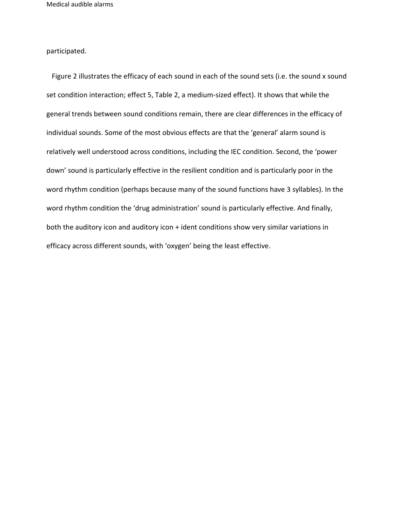participated.

Figure 2 illustrates the efficacy of each sound in each of the sound sets (i.e. the sound x sound set condition interaction; effect 5, Table 2, a medium-sized effect). It shows that while the general trends between sound conditions remain, there are clear differences in the efficacy of individual sounds. Some of the most obvious effects are that the 'general' alarm sound is relatively well understood across conditions, including the IEC condition. Second, the 'power down' sound is particularly effective in the resilient condition and is particularly poor in the word rhythm condition (perhaps because many of the sound functions have 3 syllables). In the word rhythm condition the 'drug administration' sound is particularly effective. And finally, both the auditory icon and auditory icon + ident conditions show very similar variations in efficacy across different sounds, with 'oxygen' being the least effective.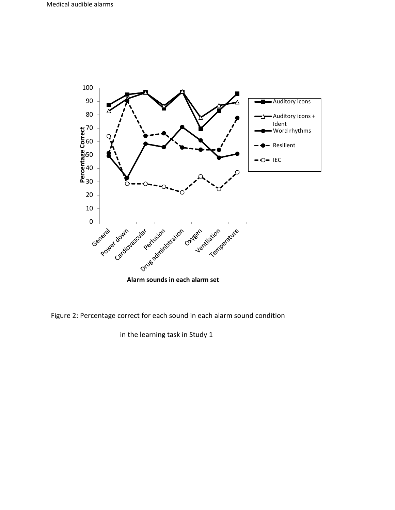

Figure 2: Percentage correct for each sound in each alarm sound condition

in the learning task in Study 1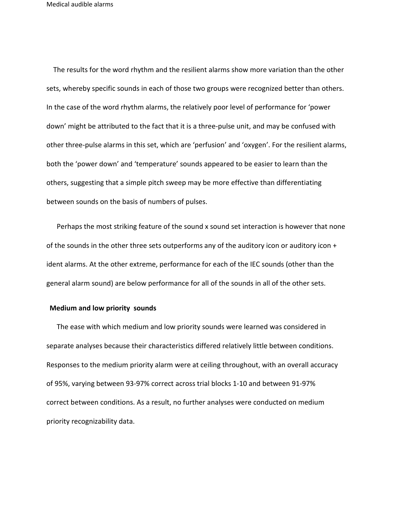The results for the word rhythm and the resilient alarms show more variation than the other sets, whereby specific sounds in each of those two groups were recognized better than others. In the case of the word rhythm alarms, the relatively poor level of performance for 'power down' might be attributed to the fact that it is a three-pulse unit, and may be confused with other three-pulse alarms in this set, which are 'perfusion' and 'oxygen'. For the resilient alarms, both the 'power down' and 'temperature' sounds appeared to be easier to learn than the others, suggesting that a simple pitch sweep may be more effective than differentiating between sounds on the basis of numbers of pulses.

 Perhaps the most striking feature of the sound x sound set interaction is however that none of the sounds in the other three sets outperforms any of the auditory icon or auditory icon + ident alarms. At the other extreme, performance for each of the IEC sounds (other than the general alarm sound) are below performance for all of the sounds in all of the other sets.

#### **Medium and low priority sounds**

 The ease with which medium and low priority sounds were learned was considered in separate analyses because their characteristics differed relatively little between conditions. Responses to the medium priority alarm were at ceiling throughout, with an overall accuracy of 95%, varying between 93-97% correct across trial blocks 1-10 and between 91-97% correct between conditions. As a result, no further analyses were conducted on medium priority recognizability data.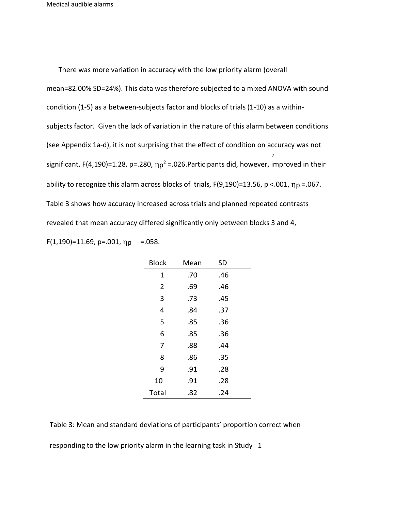2 There was more variation in accuracy with the low priority alarm (overall mean=82.00% SD=24%). This data was therefore subjected to a mixed ANOVA with sound condition (1-5) as a between-subjects factor and blocks of trials (1-10) as a withinsubjects factor. Given the lack of variation in the nature of this alarm between conditions (see Appendix 1a-d), it is not surprising that the effect of condition on accuracy was not significant, F(4,190)=1.28, p=.280,  $\eta p^2$  =.026.Participants did, however, improved in their ability to recognize this alarm across blocks of trials,  $F(9,190)$ =13.56, p <.001,  $\eta_p$  =.067. Table 3 shows how accuracy increased across trials and planned repeated contrasts revealed that mean accuracy differed significantly only between blocks 3 and 4,  $F(1,190) = 11.69$ , p=.001,  $\eta_p = .058$ .

| <b>Block</b>   | Mean | <b>SD</b> |  |
|----------------|------|-----------|--|
| 1              | .70  | .46       |  |
| $\overline{2}$ | .69  | .46       |  |
| 3              | .73  | .45       |  |
| 4              | .84  | .37       |  |
| 5              | .85  | .36       |  |
| 6              | .85  | .36       |  |
| 7              | .88  | .44       |  |
| 8              | .86  | .35       |  |
| 9              | .91  | .28       |  |
| 10             | .91  | .28       |  |
| Total          | .82  | .24       |  |

Table 3: Mean and standard deviations of participants' proportion correct when

responding to the low priority alarm in the learning task in Study 1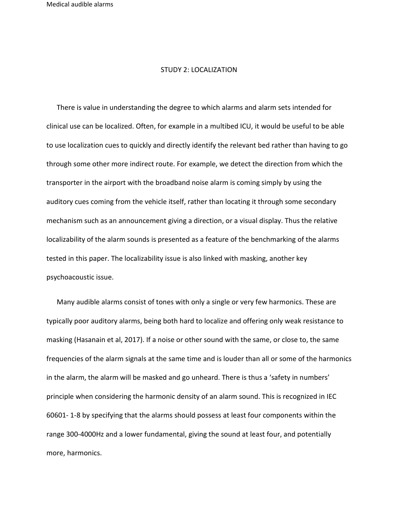#### STUDY 2: LOCALIZATION

 There is value in understanding the degree to which alarms and alarm sets intended for clinical use can be localized. Often, for example in a multibed ICU, it would be useful to be able to use localization cues to quickly and directly identify the relevant bed rather than having to go through some other more indirect route. For example, we detect the direction from which the transporter in the airport with the broadband noise alarm is coming simply by using the auditory cues coming from the vehicle itself, rather than locating it through some secondary mechanism such as an announcement giving a direction, or a visual display. Thus the relative localizability of the alarm sounds is presented as a feature of the benchmarking of the alarms tested in this paper. The localizability issue is also linked with masking, another key psychoacoustic issue.

 Many audible alarms consist of tones with only a single or very few harmonics. These are typically poor auditory alarms, being both hard to localize and offering only weak resistance to masking (Hasanain et al, 2017). If a noise or other sound with the same, or close to, the same frequencies of the alarm signals at the same time and is louder than all or some of the harmonics in the alarm, the alarm will be masked and go unheard. There is thus a 'safety in numbers' principle when considering the harmonic density of an alarm sound. This is recognized in IEC 60601- 1-8 by specifying that the alarms should possess at least four components within the range 300-4000Hz and a lower fundamental, giving the sound at least four, and potentially more, harmonics.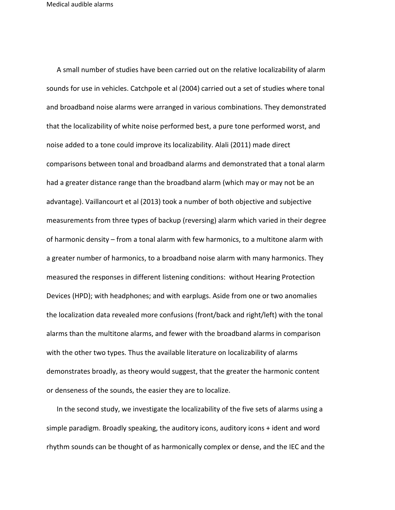A small number of studies have been carried out on the relative localizability of alarm sounds for use in vehicles. Catchpole et al (2004) carried out a set of studies where tonal and broadband noise alarms were arranged in various combinations. They demonstrated that the localizability of white noise performed best, a pure tone performed worst, and noise added to a tone could improve its localizability. Alali (2011) made direct comparisons between tonal and broadband alarms and demonstrated that a tonal alarm had a greater distance range than the broadband alarm (which may or may not be an advantage). Vaillancourt et al (2013) took a number of both objective and subjective measurements from three types of backup (reversing) alarm which varied in their degree of harmonic density – from a tonal alarm with few harmonics, to a multitone alarm with a greater number of harmonics, to a broadband noise alarm with many harmonics. They measured the responses in different listening conditions: without Hearing Protection Devices (HPD); with headphones; and with earplugs. Aside from one or two anomalies the localization data revealed more confusions (front/back and right/left) with the tonal alarms than the multitone alarms, and fewer with the broadband alarms in comparison with the other two types. Thus the available literature on localizability of alarms demonstrates broadly, as theory would suggest, that the greater the harmonic content or denseness of the sounds, the easier they are to localize.

 In the second study, we investigate the localizability of the five sets of alarms using a simple paradigm. Broadly speaking, the auditory icons, auditory icons + ident and word rhythm sounds can be thought of as harmonically complex or dense, and the IEC and the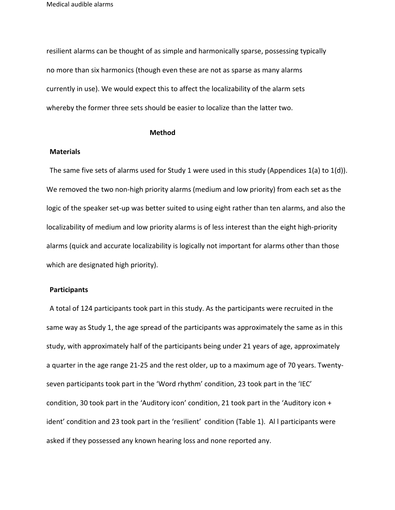resilient alarms can be thought of as simple and harmonically sparse, possessing typically no more than six harmonics (though even these are not as sparse as many alarms currently in use). We would expect this to affect the localizability of the alarm sets whereby the former three sets should be easier to localize than the latter two.

#### **Method**

#### **Materials**

The same five sets of alarms used for Study 1 were used in this study (Appendices 1(a) to 1(d)). We removed the two non-high priority alarms (medium and low priority) from each set as the logic of the speaker set-up was better suited to using eight rather than ten alarms, and also the localizability of medium and low priority alarms is of less interest than the eight high-priority alarms (quick and accurate localizability is logically not important for alarms other than those which are designated high priority).

## **Participants**

A total of 124 participants took part in this study. As the participants were recruited in the same way as Study 1, the age spread of the participants was approximately the same as in this study, with approximately half of the participants being under 21 years of age, approximately a quarter in the age range 21-25 and the rest older, up to a maximum age of 70 years. Twentyseven participants took part in the 'Word rhythm' condition, 23 took part in the 'IEC' condition, 30 took part in the 'Auditory icon' condition, 21 took part in the 'Auditory icon + ident' condition and 23 took part in the 'resilient' condition (Table 1). Al l participants were asked if they possessed any known hearing loss and none reported any.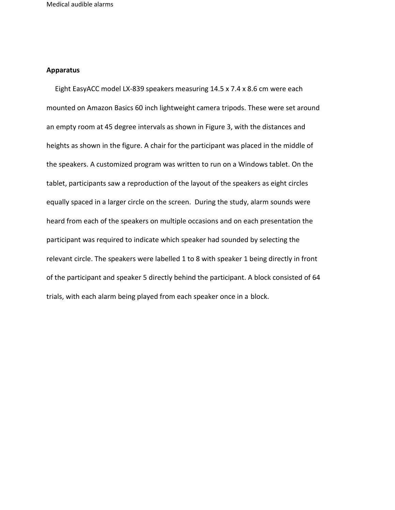#### **Apparatus**

 Eight EasyACC model LX-839 speakers measuring 14.5 x 7.4 x 8.6 cm were each mounted on Amazon Basics 60 inch lightweight camera tripods. These were set around an empty room at 45 degree intervals as shown in Figure 3, with the distances and heights as shown in the figure. A chair for the participant was placed in the middle of the speakers. A customized program was written to run on a Windows tablet. On the tablet, participants saw a reproduction of the layout of the speakers as eight circles equally spaced in a larger circle on the screen. During the study, alarm sounds were heard from each of the speakers on multiple occasions and on each presentation the participant was required to indicate which speaker had sounded by selecting the relevant circle. The speakers were labelled 1 to 8 with speaker 1 being directly in front of the participant and speaker 5 directly behind the participant. A block consisted of 64 trials, with each alarm being played from each speaker once in a block.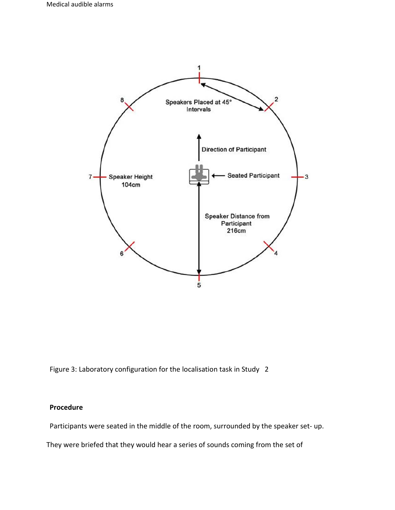

Figure 3: Laboratory configuration for the localisation task in Study 2

## **Procedure**

Participants were seated in the middle of the room, surrounded by the speaker set- up.

They were briefed that they would hear a series of sounds coming from the set of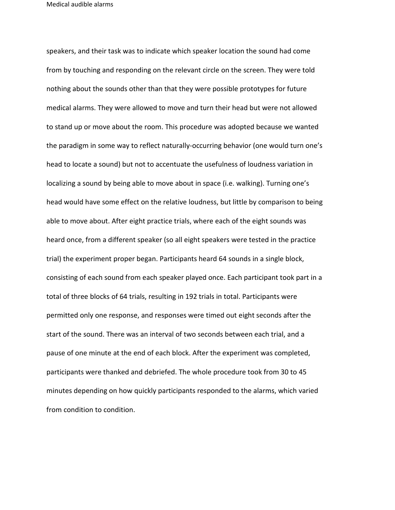speakers, and their task was to indicate which speaker location the sound had come from by touching and responding on the relevant circle on the screen. They were told nothing about the sounds other than that they were possible prototypes for future medical alarms. They were allowed to move and turn their head but were not allowed to stand up or move about the room. This procedure was adopted because we wanted the paradigm in some way to reflect naturally-occurring behavior (one would turn one's head to locate a sound) but not to accentuate the usefulness of loudness variation in localizing a sound by being able to move about in space (i.e. walking). Turning one's head would have some effect on the relative loudness, but little by comparison to being able to move about. After eight practice trials, where each of the eight sounds was heard once, from a different speaker (so all eight speakers were tested in the practice trial) the experiment proper began. Participants heard 64 sounds in a single block, consisting of each sound from each speaker played once. Each participant took part in a total of three blocks of 64 trials, resulting in 192 trials in total. Participants were permitted only one response, and responses were timed out eight seconds after the start of the sound. There was an interval of two seconds between each trial, and a pause of one minute at the end of each block. After the experiment was completed, participants were thanked and debriefed. The whole procedure took from 30 to 45 minutes depending on how quickly participants responded to the alarms, which varied from condition to condition.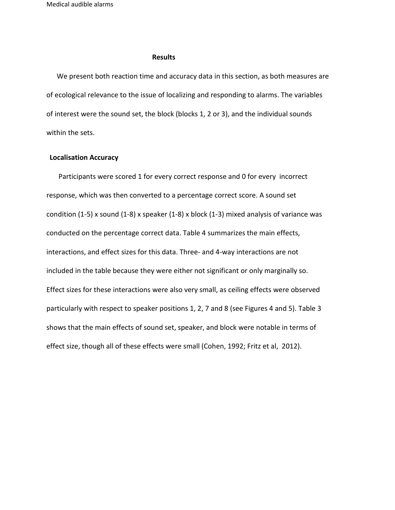### **Results**

 We present both reaction time and accuracy data in this section, as both measures are of ecological relevance to the issue of localizing and responding to alarms. The variables of interest were the sound set, the block (blocks 1, 2 or 3), and the individual sounds within the sets.

### **Localisation Accuracy**

 Participants were scored 1 for every correct response and 0 for every incorrect response, which was then converted to a percentage correct score. A sound set condition  $(1-5)$  x sound  $(1-8)$  x speaker  $(1-8)$  x block  $(1-3)$  mixed analysis of variance was conducted on the percentage correct data. Table 4 summarizes the main effects, interactions, and effect sizes for this data. Three- and 4-way interactions are not included in the table because they were either not significant or only marginally so. Effect sizes for these interactions were also very small, as ceiling effects were observed particularly with respect to speaker positions 1, 2, 7 and 8 (see Figures 4 and 5). Table 3 shows that the main effects of sound set, speaker, and block were notable in terms of effect size, though all of these effects were small (Cohen, 1992; Fritz et al, 2012).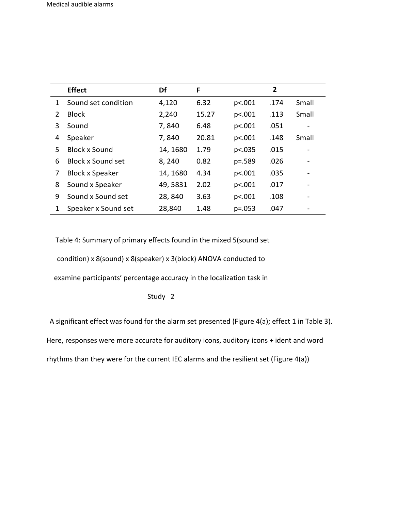|               | <b>Effect</b>            | Df       | F     |          | $\overline{2}$ |       |
|---------------|--------------------------|----------|-------|----------|----------------|-------|
| 1             | Sound set condition      | 4,120    | 6.32  | p<.001   | .174           | Small |
| $\mathcal{P}$ | <b>Block</b>             | 2,240    | 15.27 | p<.001   | .113           | Small |
| 3             | Sound                    | 7,840    | 6.48  | p<.001   | .051           |       |
| 4             | Speaker                  | 7,840    | 20.81 | p<.001   | .148           | Small |
| 5             | <b>Block x Sound</b>     | 14, 1680 | 1.79  | p<.035   | .015           |       |
| 6             | <b>Block x Sound set</b> | 8,240    | 0.82  | $p=.589$ | .026           |       |
| 7             | <b>Block x Speaker</b>   | 14, 1680 | 4.34  | p<.001   | .035           |       |
| 8             | Sound x Speaker          | 49,5831  | 2.02  | p<.001   | .017           |       |
| 9             | Sound x Sound set        | 28,840   | 3.63  | p<.001   | .108           |       |
| 1             | Speaker x Sound set      | 28,840   | 1.48  | $p=.053$ | .047           |       |

Table 4: Summary of primary effects found in the mixed 5(sound set

condition) x 8(sound) x 8(speaker) x 3(block) ANOVA conducted to

examine participants' percentage accuracy in the localization task in

Study 2

A significant effect was found for the alarm set presented (Figure 4(a); effect 1 in Table 3).

Here, responses were more accurate for auditory icons, auditory icons + ident and word

rhythms than they were for the current IEC alarms and the resilient set (Figure 4(a))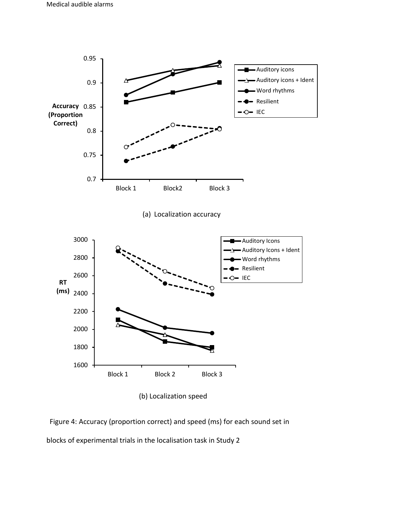

(b) Localization speed

Figure 4: Accuracy (proportion correct) and speed (ms) for each sound set in blocks of experimental trials in the localisation task in Study 2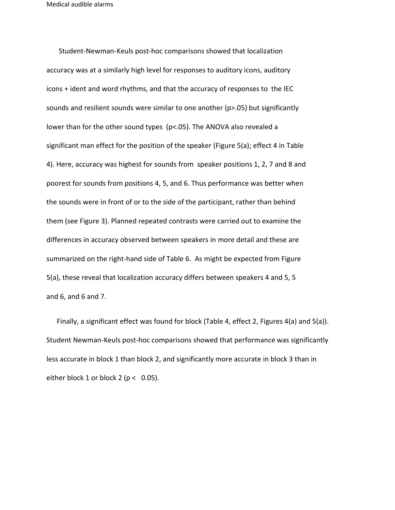Student-Newman-Keuls post-hoc comparisons showed that localization accuracy was at a similarly high level for responses to auditory icons, auditory icons + ident and word rhythms, and that the accuracy of responses to the IEC sounds and resilient sounds were similar to one another  $(p>0.05)$  but significantly lower than for the other sound types (p<.05). The ANOVA also revealed a significant man effect for the position of the speaker (Figure 5(a); effect 4 in Table 4). Here, accuracy was highest for sounds from speaker positions 1, 2, 7 and 8 and poorest for sounds from positions 4, 5, and 6. Thus performance was better when the sounds were in front of or to the side of the participant, rather than behind them (see Figure 3). Planned repeated contrasts were carried out to examine the differences in accuracy observed between speakers in more detail and these are summarized on the right-hand side of Table 6. As might be expected from Figure 5(a), these reveal that localization accuracy differs between speakers 4 and 5, 5 and 6, and 6 and 7.

 Finally, a significant effect was found for block (Table 4, effect 2, Figures 4(a) and 5(a)). Student Newman-Keuls post-hoc comparisons showed that performance was significantly less accurate in block 1 than block 2, and significantly more accurate in block 3 than in either block 1 or block 2 ( $p < 0.05$ ).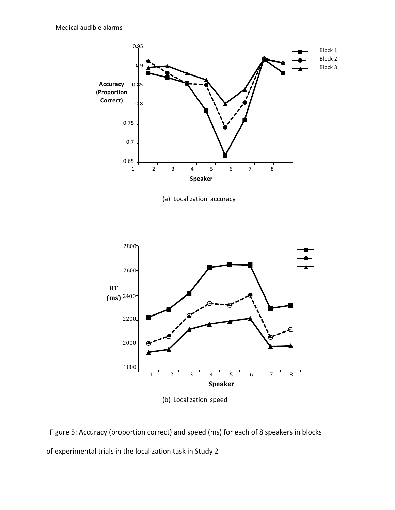

(a) Localization accuracy



(b) Localization speed

Figure 5: Accuracy (proportion correct) and speed (ms) for each of 8 speakers in blocks of experimental trials in the localization task in Study 2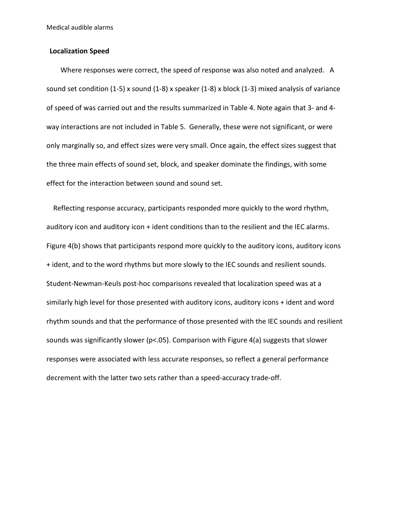## **Localization Speed**

 Where responses were correct, the speed of response was also noted and analyzed. A sound set condition (1-5) x sound (1-8) x speaker (1-8) x block (1-3) mixed analysis of variance of speed of was carried out and the results summarized in Table 4. Note again that 3- and 4 way interactions are not included in Table 5. Generally, these were not significant, or were only marginally so, and effect sizes were very small. Once again, the effect sizes suggest that the three main effects of sound set, block, and speaker dominate the findings, with some effect for the interaction between sound and sound set.

 Reflecting response accuracy, participants responded more quickly to the word rhythm, auditory icon and auditory icon + ident conditions than to the resilient and the IEC alarms. Figure 4(b) shows that participants respond more quickly to the auditory icons, auditory icons + ident, and to the word rhythms but more slowly to the IEC sounds and resilient sounds. Student-Newman-Keuls post-hoc comparisons revealed that localization speed was at a similarly high level for those presented with auditory icons, auditory icons + ident and word rhythm sounds and that the performance of those presented with the IEC sounds and resilient sounds was significantly slower (p<.05). Comparison with Figure 4(a) suggests that slower responses were associated with less accurate responses, so reflect a general performance decrement with the latter two sets rather than a speed-accuracy trade-off.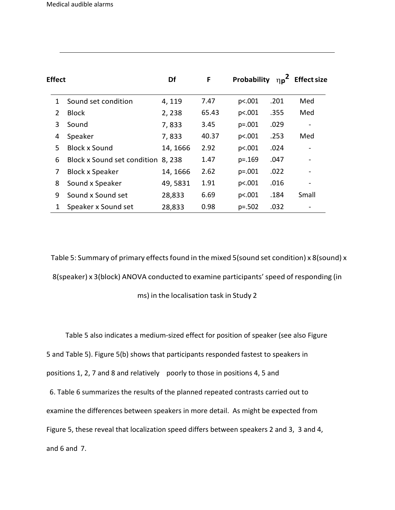| <b>Effect</b> |                                    | Df       | F     | Probability | $\eta_{p}^{2}$ | <b>Effect size</b>       |
|---------------|------------------------------------|----------|-------|-------------|----------------|--------------------------|
| 1             | Sound set condition                | 4, 119   | 7.47  | p<.001      | .201           | Med                      |
| $\mathcal{P}$ | <b>Block</b>                       | 2,238    | 65.43 | p<.001      | .355           | Med                      |
| 3             | Sound                              | 7,833    | 3.45  | $p=.001$    | .029           | $\overline{\phantom{0}}$ |
| 4             | Speaker                            | 7,833    | 40.37 | p<.001      | .253           | Med                      |
| 5.            | <b>Block x Sound</b>               | 14, 1666 | 2.92  | p<.001      | .024           |                          |
| 6             | Block x Sound set condition 8, 238 |          | 1.47  | $p=.169$    | .047           |                          |
| 7             | <b>Block x Speaker</b>             | 14, 1666 | 2.62  | $p=.001$    | .022           |                          |
| 8             | Sound x Speaker                    | 49,5831  | 1.91  | p<.001      | .016           |                          |
| 9             | Sound x Sound set                  | 28,833   | 6.69  | p<.001      | .184           | Small                    |
| 1             | Speaker x Sound set                | 28,833   | 0.98  | $p=.502$    | .032           |                          |

Table 5: Summary of primary effects found in the mixed 5(sound set condition) x 8(sound) x 8(speaker) x 3(block) ANOVA conducted to examine participants'speed of responding (in

ms) in the localisation task in Study 2

Table 5 also indicates a medium-sized effect for position of speaker (see also Figure

5 and Table 5). Figure 5(b) shows that participants responded fastest to speakers in

positions 1, 2, 7 and 8 and relatively poorly to those in positions 4, 5 and

6. Table 6 summarizes the results of the planned repeated contrasts carried out to

examine the differences between speakers in more detail. As might be expected from

Figure 5, these reveal that localization speed differs between speakers 2 and 3, 3 and 4,

and 6 and 7.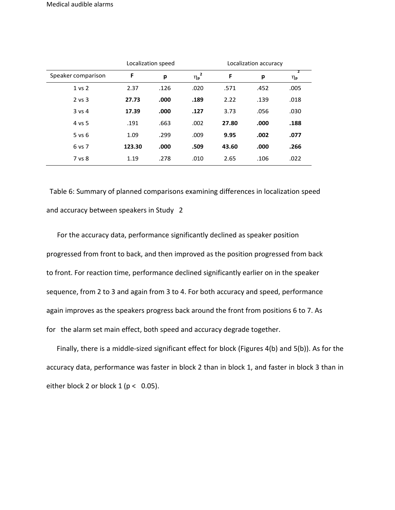|                    |        | Localization speed |                       |       | Localization accuracy |         |
|--------------------|--------|--------------------|-----------------------|-------|-----------------------|---------|
| Speaker comparison | F      | p                  | $\eta_{\mathsf{p}}^2$ | F     | p                     | 2<br>ηp |
| 1 vs 2             | 2.37   | .126               | .020                  | .571  | .452                  | .005    |
| $2$ vs $3$         | 27.73  | .000               | .189                  | 2.22  | .139                  | .018    |
| $3$ vs 4           | 17.39  | .000               | .127                  | 3.73  | .056                  | .030    |
| 4 vs 5             | .191   | .663               | .002                  | 27.80 | .000                  | .188    |
| $5$ vs $6$         | 1.09   | .299               | .009                  | 9.95  | .002                  | .077    |
| 6 vs 7             | 123.30 | .000               | .509                  | 43.60 | .000                  | .266    |
| 7 vs 8             | 1.19   | .278               | .010                  | 2.65  | .106                  | .022    |

Table 6: Summary of planned comparisons examining differences in localization speed and accuracy between speakers in Study 2

 For the accuracy data, performance significantly declined as speaker position progressed from front to back, and then improved as the position progressed from back to front. For reaction time, performance declined significantly earlier on in the speaker sequence, from 2 to 3 and again from 3 to 4. For both accuracy and speed, performance again improves as the speakers progress back around the front from positions 6 to 7. As for the alarm set main effect, both speed and accuracy degrade together.

 Finally, there is a middle-sized significant effect for block (Figures 4(b) and 5(b)). As for the accuracy data, performance was faster in block 2 than in block 1, and faster in block 3 than in either block 2 or block 1 ( $p < 0.05$ ).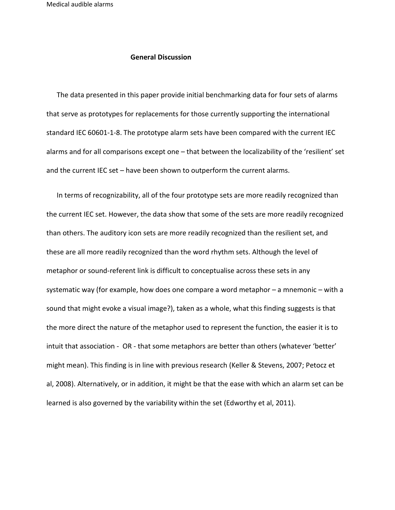## **General Discussion**

 The data presented in this paper provide initial benchmarking data for four sets of alarms that serve as prototypes for replacements for those currently supporting the international standard IEC 60601-1-8. The prototype alarm sets have been compared with the current IEC alarms and for all comparisons except one – that between the localizability of the 'resilient' set and the current IEC set – have been shown to outperform the current alarms.

 In terms of recognizability, all of the four prototype sets are more readily recognized than the current IEC set. However, the data show that some of the sets are more readily recognized than others. The auditory icon sets are more readily recognized than the resilient set, and these are all more readily recognized than the word rhythm sets. Although the level of metaphor or sound-referent link is difficult to conceptualise across these sets in any systematic way (for example, how does one compare a word metaphor – a mnemonic – with a sound that might evoke a visual image?), taken as a whole, what this finding suggests is that the more direct the nature of the metaphor used to represent the function, the easier it is to intuit that association - OR - that some metaphors are better than others (whatever 'better' might mean). This finding is in line with previous research (Keller & Stevens, 2007; Petocz et al, 2008). Alternatively, or in addition, it might be that the ease with which an alarm set can be learned is also governed by the variability within the set (Edworthy et al, 2011).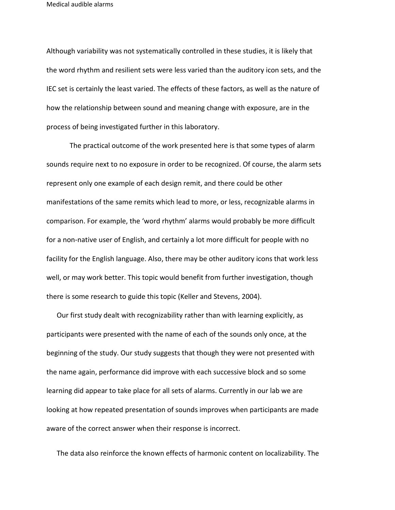Although variability was not systematically controlled in these studies, it is likely that the word rhythm and resilient sets were less varied than the auditory icon sets, and the IEC set is certainly the least varied. The effects of these factors, as well as the nature of how the relationship between sound and meaning change with exposure, are in the process of being investigated further in this laboratory.

The practical outcome of the work presented here is that some types of alarm sounds require next to no exposure in order to be recognized. Of course, the alarm sets represent only one example of each design remit, and there could be other manifestations of the same remits which lead to more, or less, recognizable alarms in comparison. For example, the 'word rhythm' alarms would probably be more difficult for a non-native user of English, and certainly a lot more difficult for people with no facility for the English language. Also, there may be other auditory icons that work less well, or may work better. This topic would benefit from further investigation, though there is some research to guide this topic (Keller and Stevens, 2004).

 Our first study dealt with recognizability rather than with learning explicitly, as participants were presented with the name of each of the sounds only once, at the beginning of the study. Our study suggests that though they were not presented with the name again, performance did improve with each successive block and so some learning did appear to take place for all sets of alarms. Currently in our lab we are looking at how repeated presentation of sounds improves when participants are made aware of the correct answer when their response is incorrect.

The data also reinforce the known effects of harmonic content on localizability. The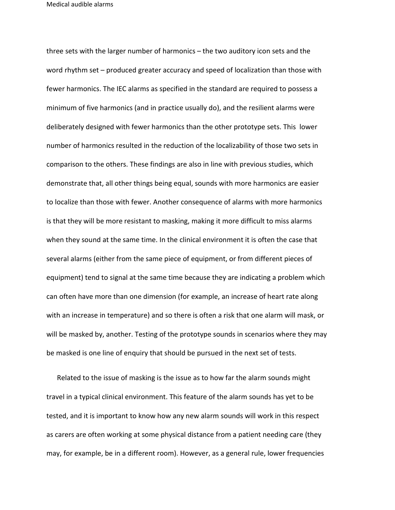three sets with the larger number of harmonics – the two auditory icon sets and the word rhythm set – produced greater accuracy and speed of localization than those with fewer harmonics. The IEC alarms as specified in the standard are required to possess a minimum of five harmonics (and in practice usually do), and the resilient alarms were deliberately designed with fewer harmonics than the other prototype sets. This lower number of harmonics resulted in the reduction of the localizability of those two sets in comparison to the others. These findings are also in line with previous studies, which demonstrate that, all other things being equal, sounds with more harmonics are easier to localize than those with fewer. Another consequence of alarms with more harmonics is that they will be more resistant to masking, making it more difficult to miss alarms when they sound at the same time. In the clinical environment it is often the case that several alarms (either from the same piece of equipment, or from different pieces of equipment) tend to signal at the same time because they are indicating a problem which can often have more than one dimension (for example, an increase of heart rate along with an increase in temperature) and so there is often a risk that one alarm will mask, or will be masked by, another. Testing of the prototype sounds in scenarios where they may be masked is one line of enquiry that should be pursued in the next set of tests.

 Related to the issue of masking is the issue as to how far the alarm sounds might travel in a typical clinical environment. This feature of the alarm sounds has yet to be tested, and it is important to know how any new alarm sounds will work in this respect as carers are often working at some physical distance from a patient needing care (they may, for example, be in a different room). However, as a general rule, lower frequencies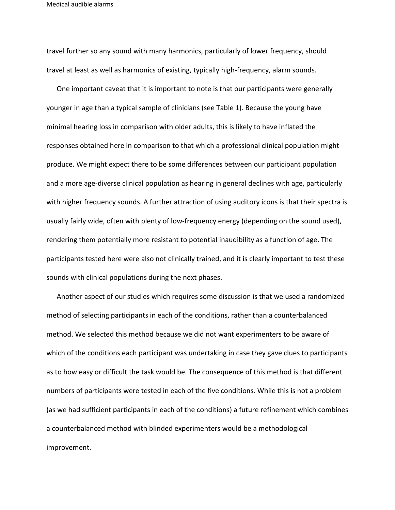travel further so any sound with many harmonics, particularly of lower frequency, should travel at least as well as harmonics of existing, typically high-frequency, alarm sounds.

 One important caveat that it is important to note is that our participants were generally younger in age than a typical sample of clinicians (see Table 1). Because the young have minimal hearing loss in comparison with older adults, this is likely to have inflated the responses obtained here in comparison to that which a professional clinical population might produce. We might expect there to be some differences between our participant population and a more age-diverse clinical population as hearing in general declines with age, particularly with higher frequency sounds. A further attraction of using auditory icons is that their spectra is usually fairly wide, often with plenty of low-frequency energy (depending on the sound used), rendering them potentially more resistant to potential inaudibility as a function of age. The participants tested here were also not clinically trained, and it is clearly important to test these sounds with clinical populations during the next phases.

 Another aspect of our studies which requires some discussion is that we used a randomized method of selecting participants in each of the conditions, rather than a counterbalanced method. We selected this method because we did not want experimenters to be aware of which of the conditions each participant was undertaking in case they gave clues to participants as to how easy or difficult the task would be. The consequence of this method is that different numbers of participants were tested in each of the five conditions. While this is not a problem (as we had sufficient participants in each of the conditions) a future refinement which combines a counterbalanced method with blinded experimenters would be a methodological improvement.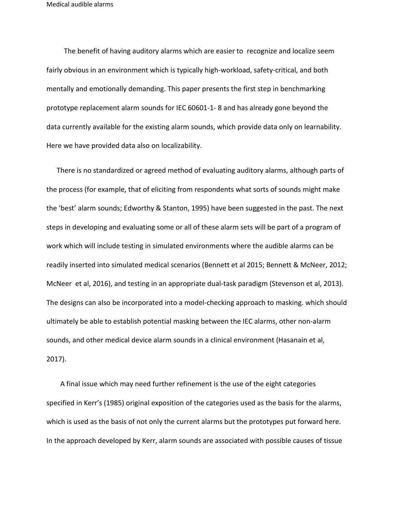The benefit of having auditory alarms which are easier to recognize and localize seem fairly obvious in an environment which is typically high-workload, safety-critical, and both mentally and emotionally demanding. This paper presents the first step in benchmarking prototype replacement alarm sounds for IEC 60601-1- 8 and has already gone beyond the data currently available for the existing alarm sounds, which provide data only on learnability. Here we have provided data also on localizability.

 There is no standardized or agreed method of evaluating auditory alarms, although parts of the process (for example, that of eliciting from respondents what sorts of sounds might make the 'best' alarm sounds; Edworthy & Stanton, 1995) have been suggested in the past. The next steps in developing and evaluating some or all of these alarm sets will be part of a program of work which will include testing in simulated environments where the audible alarms can be readily inserted into simulated medical scenarios (Bennett et al 2015; Bennett & McNeer, 2012; McNeer et al, 2016), and testing in an appropriate dual-task paradigm (Stevenson et al, 2013). The designs can also be incorporated into a model-checking approach to masking. which should ultimately be able to establish potential masking between the IEC alarms, other non-alarm sounds, and other medical device alarm sounds in a clinical environment (Hasanain et al, 2017).

 A final issue which may need further refinement is the use of the eight categories specified in Kerr's (1985) original exposition of the categories used as the basis for the alarms, which is used as the basis of not only the current alarms but the prototypes put forward here. In the approach developed by Kerr, alarm sounds are associated with possible causes of tissue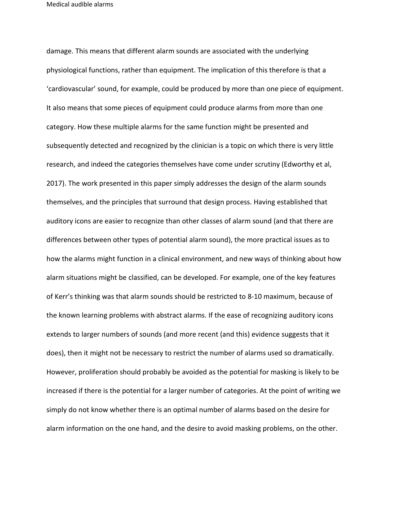damage. This means that different alarm sounds are associated with the underlying physiological functions, rather than equipment. The implication of this therefore is that a 'cardiovascular' sound, for example, could be produced by more than one piece of equipment. It also means that some pieces of equipment could produce alarms from more than one category. How these multiple alarms for the same function might be presented and subsequently detected and recognized by the clinician is a topic on which there is very little research, and indeed the categories themselves have come under scrutiny (Edworthy et al, 2017). The work presented in this paper simply addresses the design of the alarm sounds themselves, and the principles that surround that design process. Having established that auditory icons are easier to recognize than other classes of alarm sound (and that there are differences between other types of potential alarm sound), the more practical issues as to how the alarms might function in a clinical environment, and new ways of thinking about how alarm situations might be classified, can be developed. For example, one of the key features of Kerr's thinking was that alarm sounds should be restricted to 8-10 maximum, because of the known learning problems with abstract alarms. If the ease of recognizing auditory icons extends to larger numbers of sounds (and more recent (and this) evidence suggests that it does), then it might not be necessary to restrict the number of alarms used so dramatically. However, proliferation should probably be avoided as the potential for masking is likely to be increased if there is the potential for a larger number of categories. At the point of writing we simply do not know whether there is an optimal number of alarms based on the desire for alarm information on the one hand, and the desire to avoid masking problems, on the other.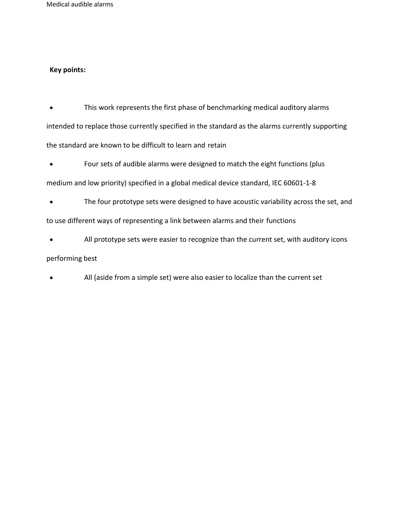## **Key points:**

• This work represents the first phase of benchmarking medical auditory alarms intended to replace those currently specified in the standard as the alarms currently supporting the standard are known to be difficult to learn and retain

• Four sets of audible alarms were designed to match the eight functions (plus

medium and low priority) specified in a global medical device standard, IEC 60601-1-8

The four prototype sets were designed to have acoustic variability across the set, and to use different ways of representing a link between alarms and their functions

All prototype sets were easier to recognize than the current set, with auditory icons

## performing best

• All (aside from a simple set) were also easier to localize than the current set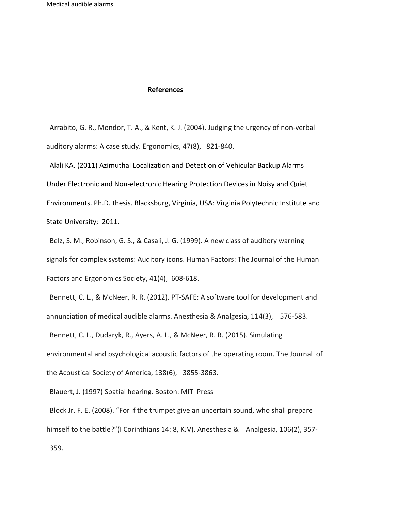## **References**

Arrabito, G. R., Mondor, T. A., & Kent, K. J. (2004). Judging the urgency of non-verbal auditory alarms: A case study. Ergonomics, 47(8), 821-840.

Alali KA. (2011) Azimuthal Localization and Detection of Vehicular Backup Alarms Under Electronic and Non-electronic Hearing Protection Devices in Noisy and Quiet Environments. Ph.D. thesis. Blacksburg, Virginia, USA: Virginia Polytechnic Institute and State University; 2011.

Belz, S. M., Robinson, G. S., & Casali, J. G. (1999). A new class of auditory warning signals for complex systems: Auditory icons. Human Factors: The Journal of the Human Factors and Ergonomics Society, 41(4), 608-618.

Bennett, C. L., & McNeer, R. R. (2012). PT-SAFE: A software tool for development and annunciation of medical audible alarms. Anesthesia & Analgesia, 114(3), 576-583.

Bennett, C. L., Dudaryk, R., Ayers, A. L., & McNeer, R. R. (2015). Simulating environmental and psychological acoustic factors of the operating room. The Journal of the Acoustical Society of America, 138(6), 3855-3863.

Blauert, J. (1997) Spatial hearing. Boston: MIT Press

Block Jr, F. E. (2008). "For if the trumpet give an uncertain sound, who shall prepare himself to the battle?"(I Corinthians 14: 8, KJV). Anesthesia & Analgesia, 106(2), 357- 359.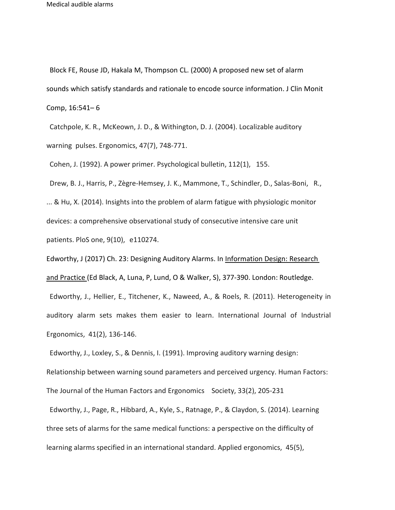Block FE, Rouse JD, Hakala M, Thompson CL. (2000) A proposed new set of alarm sounds which satisfy standards and rationale to encode source information. J Clin Monit Comp, 16:541– 6

Catchpole, K. R., McKeown, J. D., & Withington, D. J. (2004). Localizable auditory warning pulses. Ergonomics, 47(7), 748-771.

Cohen, J. (1992). A power primer. Psychological bulletin, 112(1), 155.

Drew, B. J., Harris, P., Zègre-Hemsey, J. K., Mammone, T., Schindler, D., Salas-Boni, R., ... & Hu, X. (2014). Insights into the problem of alarm fatigue with physiologic monitor devices: a comprehensive observational study of consecutive intensive care unit patients. PloS one, 9(10), e110274.

Edworthy, J (2017) Ch. 23: Designing Auditory Alarms. In Information Design: Research and Practice (Ed Black, A, Luna, P, Lund, O & Walker, S), 377-390. London: Routledge. Edworthy, J., Hellier, E., Titchener, K., Naweed, A., & Roels, R. (2011). Heterogeneity in auditory alarm sets makes them easier to learn. International Journal of Industrial

Ergonomics, 41(2), 136-146.

Edworthy, J., Loxley, S., & Dennis, I. (1991). Improving auditory warning design: Relationship between warning sound parameters and perceived urgency. Human Factors: The Journal of the Human Factors and Ergonomics Society, 33(2), 205-231

Edworthy, J., Page, R., Hibbard, A., Kyle, S., Ratnage, P., & Claydon, S. (2014). Learning three sets of alarms for the same medical functions: a perspective on the difficulty of learning alarms specified in an international standard. Applied ergonomics, 45(5),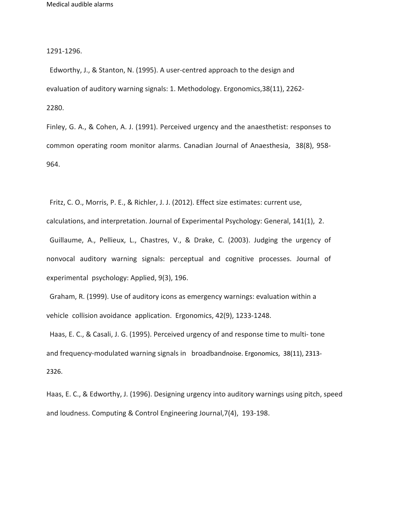1291-1296.

Edworthy, J., & Stanton, N. (1995). A user-centred approach to the design and evaluation of auditory warning signals: 1. Methodology. Ergonomics,38(11), 2262- 2280.

Finley, G. A., & Cohen, A. J. (1991). Perceived urgency and the anaesthetist: responses to common operating room monitor alarms. Canadian Journal of Anaesthesia, 38(8), 958- 964.

Fritz, C. O., Morris, P. E., & Richler, J. J. (2012). Effect size estimates: current use,

calculations, and interpretation. Journal of Experimental Psychology: General, 141(1), 2. Guillaume, A., Pellieux, L., Chastres, V., & Drake, C. (2003). Judging the urgency of nonvocal auditory warning signals: perceptual and cognitive processes. Journal of experimental psychology: Applied, 9(3), 196.

Graham, R. (1999). Use of auditory icons as emergency warnings: evaluation within a vehicle collision avoidance application. Ergonomics, 42(9), 1233-1248.

Haas, E. C., & Casali, J. G. (1995). Perceived urgency of and response time to multi- tone and frequency-modulated warning signals in broadbandnoise. Ergonomics, 38(11), 2313- 2326.

Haas, E. C., & Edworthy, J. (1996). Designing urgency into auditory warnings using pitch, speed and loudness. Computing & Control Engineering Journal,7(4), 193-198.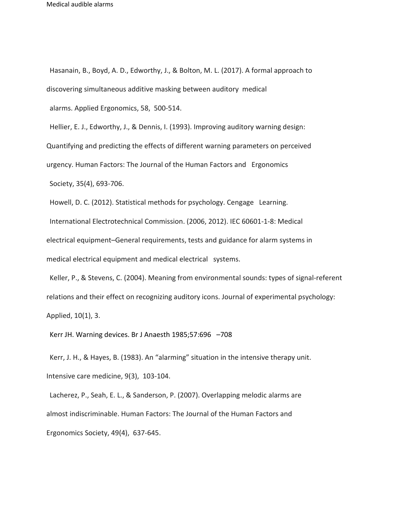Hasanain, B., Boyd, A. D., Edworthy, J., & Bolton, M. L. (2017). A formal approach to discovering simultaneous additive masking between auditory medical

alarms. Applied Ergonomics, 58, 500-514.

Hellier, E. J., Edworthy, J., & Dennis, I. (1993). Improving auditory warning design:

Quantifying and predicting the effects of different warning parameters on perceived

urgency. Human Factors: The Journal of the Human Factors and Ergonomics

Society, 35(4), 693-706.

Howell, D. C. (2012). Statistical methods for psychology. Cengage Learning. International Electrotechnical Commission. (2006, 2012). IEC 60601-1-8: Medical electrical equipment–General requirements, tests and guidance for alarm systems in medical electrical equipment and medical electrical systems.

Keller, P., & Stevens, C. (2004). Meaning from environmental sounds: types of signal-referent relations and their effect on recognizing auditory icons. Journal of experimental psychology: Applied, 10(1), 3.

Kerr JH. Warning devices. Br J Anaesth 1985;57:696 –708

Kerr, J. H., & Hayes, B. (1983). An "alarming" situation in the intensive therapy unit. Intensive care medicine, 9(3), 103-104.

Lacherez, P., Seah, E. L., & Sanderson, P. (2007). Overlapping melodic alarms are almost indiscriminable. Human Factors: The Journal of the Human Factors and Ergonomics Society, 49(4), 637-645.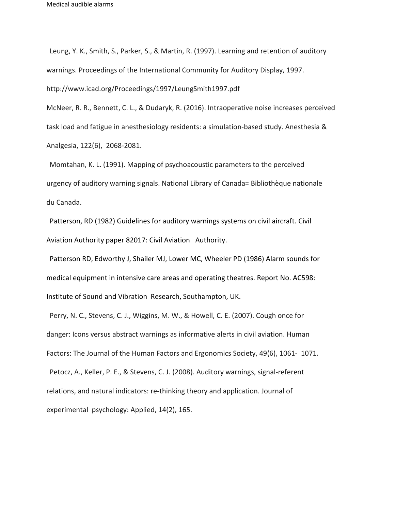Leung, Y. K., Smith, S., Parker, S., & Martin, R. (1997). Learning and retention of auditory warnings. Proceedings of the International Community for Auditory Display, 1997. <http://www.icad.org/Proceedings/1997/LeungSmith1997.pdf>

McNeer, R. R., Bennett, C. L., & Dudaryk, R. (2016). Intraoperative noise increases perceived task load and fatigue in anesthesiology residents: a simulation-based study. Anesthesia & Analgesia, 122(6), 2068-2081.

Momtahan, K. L. (1991). Mapping of psychoacoustic parameters to the perceived urgency of auditory warning signals. National Library of Canada= Bibliothèque nationale du Canada.

Patterson, RD (1982) Guidelines for auditory warnings systems on civil aircraft. Civil Aviation Authority paper 82017: Civil Aviation Authority.

Patterson RD, Edworthy J, Shailer MJ, Lower MC, Wheeler PD (1986) Alarm sounds for medical equipment in intensive care areas and operating theatres. Report No. AC598: Institute of Sound and Vibration Research, Southampton, UK.

Perry, N. C., Stevens, C. J., Wiggins, M. W., & Howell, C. E. (2007). Cough once for danger: Icons versus abstract warnings as informative alerts in civil aviation. Human Factors: The Journal of the Human Factors and Ergonomics Society, 49(6), 1061- 1071. Petocz, A., Keller, P. E., & Stevens, C. J. (2008). Auditory warnings, signal-referent relations, and natural indicators: re-thinking theory and application. Journal of experimental psychology: Applied, 14(2), 165.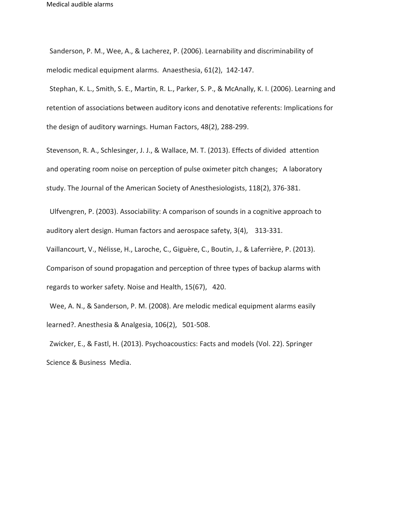Sanderson, P. M., Wee, A., & Lacherez, P. (2006). Learnability and discriminability of melodic medical equipment alarms. Anaesthesia, 61(2), 142-147.

Stephan, K. L., Smith, S. E., Martin, R. L., Parker, S. P., & McAnally, K. I. (2006). Learning and retention of associations between auditory icons and denotative referents: Implications for the design of auditory warnings. Human Factors, 48(2), 288-299.

Stevenson, R. A., Schlesinger, J. J., & Wallace, M. T. (2013). Effects of divided attention and operating room noise on perception of pulse oximeter pitch changes; A laboratory study. The Journal of the American Society of Anesthesiologists, 118(2), 376-381.

Ulfvengren, P. (2003). Associability: A comparison of sounds in a cognitive approach to auditory alert design. Human factors and aerospace safety, 3(4), 313-331.

Vaillancourt, V., Nélisse, H., Laroche, C., Giguère, C., Boutin, J., & Laferrière, P. (2013). Comparison of sound propagation and perception of three types of backup alarms with regards to worker safety. Noise and Health, 15(67), 420.

Wee, A. N., & Sanderson, P. M. (2008). Are melodic medical equipment alarms easily learned?. Anesthesia & Analgesia, 106(2), 501-508.

Zwicker, E., & Fastl, H. (2013). Psychoacoustics: Facts and models (Vol. 22). Springer Science & Business Media.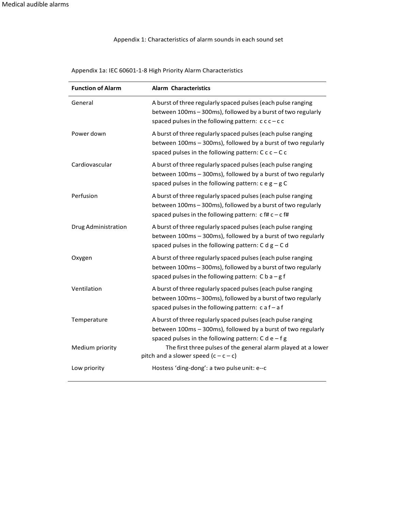Appendix 1: Characteristics of alarm sounds in each sound set

**Function of Alarm Alarm Characteristics** General **A** burst of three regularly spaced pulses (each pulse ranging between 100ms – 300ms), followed by a burst of two regularly spaced pulses in the following pattern:  $c$  c  $c$  – c c Power down A burst ofthree regularly spaced pulses(each pulse ranging between 100ms – 300ms), followed by a burst of two regularly spaced pulses in the following pattern:  $C$  c  $c - C$  c Cardiovascular A burst ofthree regularly spaced pulses(each pulse ranging between 100ms – 300ms), followed by a burst of two regularly spaced pulses in the following pattern:  $c e g - g C$ Perfusion **A** burst of three regularly spaced pulses (each pulse ranging between 100ms – 300ms), followed by a burst of two regularly spaced pulses in the following pattern:  $c$  f#  $c - c$  f# Drug Administration A burst ofthree regularly spaced pulses(each pulse ranging between 100ms – 300ms), followed by a burst of two regularly spaced pulses in the following pattern:  $C d g - C d$ Oxygen A burst of three regularly spaced pulses (each pulse ranging between 100ms – 300ms), followed by a burst of two regularly spaced pulses in the following pattern:  $C b a - g f$ Ventilation A burst ofthree regularly spaced pulses(each pulse ranging between 100ms – 300ms), followed by a burst of two regularly spaced pulses in the following pattern:  $c$  a f – a f Temperature A burst ofthree regularly spaced pulses(each pulse ranging between 100ms – 300ms), followed by a burst of two regularly spaced pulses in the following pattern:  $C d e - f g$ Medium priority The first three pulses of the general alarm played at a lower pitch and a slower speed  $(c - c - c)$ Low priority **Hostess** 'ding-dong': a two pulse unit: e--c

Appendix 1a: IEC 60601-1-8 High Priority Alarm Characteristics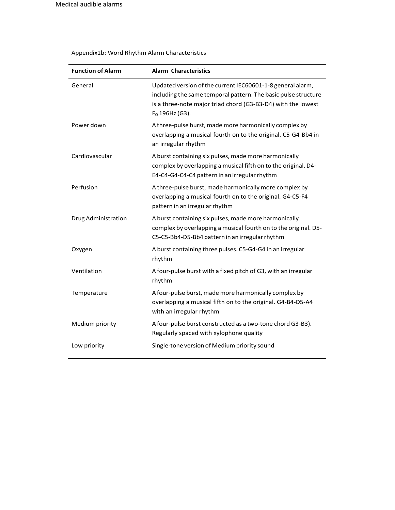$\overline{a}$ 

# Appendix1b: Word Rhythm Alarm Characteristics

| <b>Function of Alarm</b> | <b>Alarm Characteristics</b>                                                                                                                                                                                     |
|--------------------------|------------------------------------------------------------------------------------------------------------------------------------------------------------------------------------------------------------------|
| General                  | Updated version of the current IEC60601-1-8 general alarm,<br>including the same temporal pattern. The basic pulse structure<br>is a three-note major triad chord (G3-B3-D4) with the lowest<br>$F0$ 196Hz (G3). |
| Power down               | A three-pulse burst, made more harmonically complex by<br>overlapping a musical fourth on to the original. C5-G4-Bb4 in<br>an irregular rhythm                                                                   |
| Cardiovascular           | A burst containing six pulses, made more harmonically<br>complex by overlapping a musical fifth on to the original. D4-<br>E4-C4-G4-C4-C4 pattern in an irregular rhythm                                         |
| Perfusion                | A three-pulse burst, made harmonically more complex by<br>overlapping a musical fourth on to the original. G4-C5-F4<br>pattern in an irregular rhythm                                                            |
| Drug Administration      | A burst containing six pulses, made more harmonically<br>complex by overlapping a musical fourth on to the original. D5-<br>C5-C5-Bb4-D5-Bb4 pattern in an irregular rhythm                                      |
| Oxygen                   | A burst containing three pulses. C5-G4-G4 in an irregular<br>rhythm                                                                                                                                              |
| Ventilation              | A four-pulse burst with a fixed pitch of G3, with an irregular<br>rhythm                                                                                                                                         |
| Temperature              | A four-pulse burst, made more harmonically complex by<br>overlapping a musical fifth on to the original. G4-B4-D5-A4<br>with an irregular rhythm                                                                 |
| Medium priority          | A four-pulse burst constructed as a two-tone chord G3-B3).<br>Regularly spaced with xylophone quality                                                                                                            |
| Low priority             | Single-tone version of Medium priority sound                                                                                                                                                                     |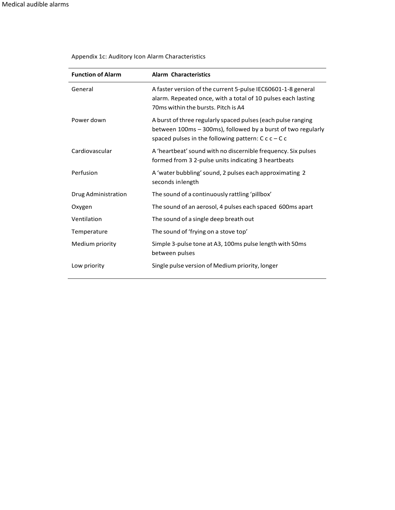| <b>Function of Alarm</b> | <b>Alarm Characteristics</b>                                                                                                                                                        |
|--------------------------|-------------------------------------------------------------------------------------------------------------------------------------------------------------------------------------|
| General                  | A faster version of the current 5-pulse IEC60601-1-8 general<br>alarm. Repeated once, with a total of 10 pulses each lasting<br>70ms within the bursts. Pitch is A4                 |
| Power down               | A burst of three regularly spaced pulses (each pulse ranging<br>between 100ms - 300ms), followed by a burst of two regularly<br>spaced pulses in the following pattern: $C c - C c$ |
| Cardiovascular           | A 'heartbeat' sound with no discernible frequency. Six pulses<br>formed from 3 2-pulse units indicating 3 heartbeats                                                                |
| Perfusion                | A 'water bubbling' sound, 2 pulses each approximating 2<br>seconds in length                                                                                                        |
| Drug Administration      | The sound of a continuously rattling 'pillbox'                                                                                                                                      |
| Oxygen                   | The sound of an aerosol, 4 pulses each spaced 600ms apart                                                                                                                           |
| Ventilation              | The sound of a single deep breath out                                                                                                                                               |
| Temperature              | The sound of 'frying on a stove top'                                                                                                                                                |
| Medium priority          | Simple 3-pulse tone at A3, 100ms pulse length with 50ms<br>between pulses                                                                                                           |
| Low priority             | Single pulse version of Medium priority, longer                                                                                                                                     |

## Appendix 1c: Auditory Icon Alarm Characteristics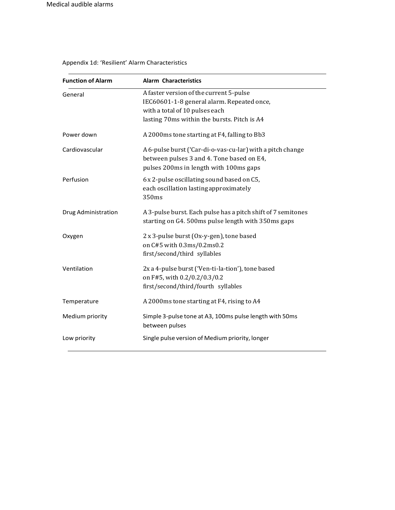| <b>Function of Alarm</b> | <b>Alarm Characteristics</b>                                                                                                                                           |
|--------------------------|------------------------------------------------------------------------------------------------------------------------------------------------------------------------|
| General                  | A faster version of the current 5-pulse<br>IEC60601-1-8 general alarm. Repeated once,<br>with a total of 10 pulses each<br>lasting 70ms within the bursts. Pitch is A4 |
| Power down               | A 2000ms tone starting at F4, falling to Bb3                                                                                                                           |
| Cardiovascular           | A 6-pulse burst ('Car-di-o-vas-cu-lar) with a pitch change<br>between pulses 3 and 4. Tone based on E4,<br>pulses 200ms in length with 100ms gaps                      |
| Perfusion                | 6 x 2-pulse oscillating sound based on C5,<br>each oscillation lasting approximately<br>350ms                                                                          |
| Drug Administration      | A 3-pulse burst. Each pulse has a pitch shift of 7 semitones<br>starting on G4. 500ms pulse length with 350ms gaps                                                     |
| Oxygen                   | 2 x 3-pulse burst (Ox-y-gen), tone based<br>on C#5 with 0.3ms/0.2ms0.2<br>first/second/third syllables                                                                 |
| Ventilation              | 2x a 4-pulse burst ('Ven-ti-la-tion'), tone based<br>on F#5, with 0.2/0.2/0.3/0.2<br>first/second/third/fourth syllables                                               |
| Temperature              | A 2000ms tone starting at F4, rising to A4                                                                                                                             |
| Medium priority          | Simple 3-pulse tone at A3, 100ms pulse length with 50ms<br>between pulses                                                                                              |
| Low priority             | Single pulse version of Medium priority, longer                                                                                                                        |